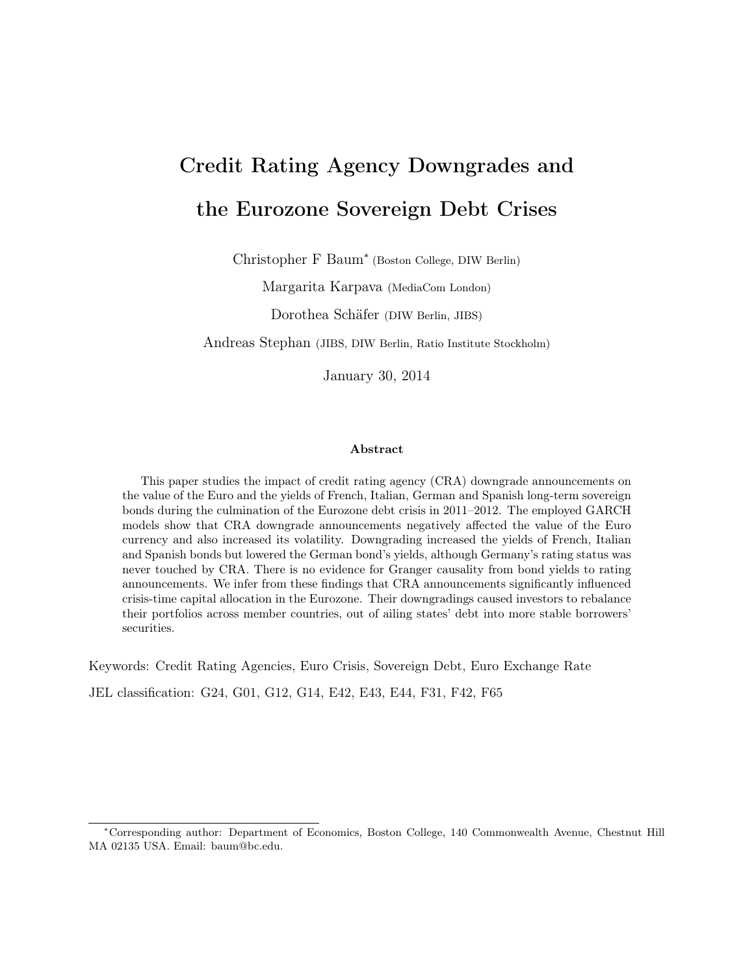# Credit Rating Agency Downgrades and the Eurozone Sovereign Debt Crises

Christopher F Baum<sup>∗</sup> (Boston College, DIW Berlin)

Margarita Karpava (MediaCom London)

Dorothea Schäfer (DIW Berlin, JIBS)

Andreas Stephan (JIBS, DIW Berlin, Ratio Institute Stockholm)

January 30, 2014

#### Abstract

This paper studies the impact of credit rating agency (CRA) downgrade announcements on the value of the Euro and the yields of French, Italian, German and Spanish long-term sovereign bonds during the culmination of the Eurozone debt crisis in 2011–2012. The employed GARCH models show that CRA downgrade announcements negatively affected the value of the Euro currency and also increased its volatility. Downgrading increased the yields of French, Italian and Spanish bonds but lowered the German bond's yields, although Germany's rating status was never touched by CRA. There is no evidence for Granger causality from bond yields to rating announcements. We infer from these findings that CRA announcements significantly influenced crisis-time capital allocation in the Eurozone. Their downgradings caused investors to rebalance their portfolios across member countries, out of ailing states' debt into more stable borrowers' securities.

Keywords: Credit Rating Agencies, Euro Crisis, Sovereign Debt, Euro Exchange Rate

JEL classification: G24, G01, G12, G14, E42, E43, E44, F31, F42, F65

<sup>∗</sup>Corresponding author: Department of Economics, Boston College, 140 Commonwealth Avenue, Chestnut Hill MA 02135 USA. Email: baum@bc.edu.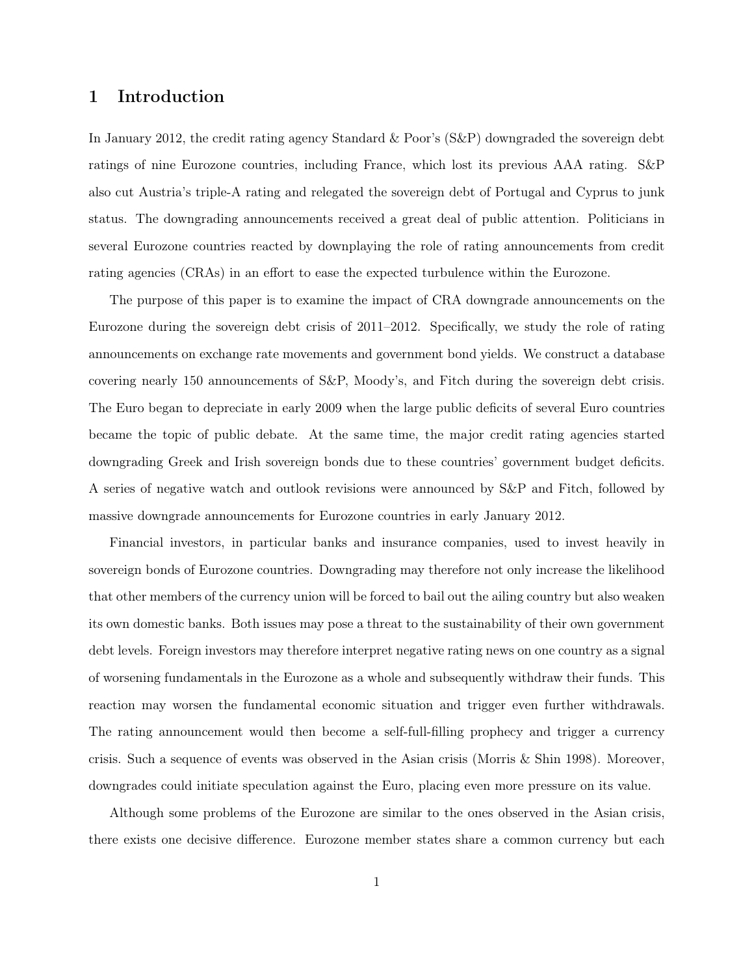# 1 Introduction

In January 2012, the credit rating agency Standard & Poor's (S&P) downgraded the sovereign debt ratings of nine Eurozone countries, including France, which lost its previous AAA rating. S&P also cut Austria's triple-A rating and relegated the sovereign debt of Portugal and Cyprus to junk status. The downgrading announcements received a great deal of public attention. Politicians in several Eurozone countries reacted by downplaying the role of rating announcements from credit rating agencies (CRAs) in an effort to ease the expected turbulence within the Eurozone.

The purpose of this paper is to examine the impact of CRA downgrade announcements on the Eurozone during the sovereign debt crisis of 2011–2012. Specifically, we study the role of rating announcements on exchange rate movements and government bond yields. We construct a database covering nearly 150 announcements of S&P, Moody's, and Fitch during the sovereign debt crisis. The Euro began to depreciate in early 2009 when the large public deficits of several Euro countries became the topic of public debate. At the same time, the major credit rating agencies started downgrading Greek and Irish sovereign bonds due to these countries' government budget deficits. A series of negative watch and outlook revisions were announced by S&P and Fitch, followed by massive downgrade announcements for Eurozone countries in early January 2012.

Financial investors, in particular banks and insurance companies, used to invest heavily in sovereign bonds of Eurozone countries. Downgrading may therefore not only increase the likelihood that other members of the currency union will be forced to bail out the ailing country but also weaken its own domestic banks. Both issues may pose a threat to the sustainability of their own government debt levels. Foreign investors may therefore interpret negative rating news on one country as a signal of worsening fundamentals in the Eurozone as a whole and subsequently withdraw their funds. This reaction may worsen the fundamental economic situation and trigger even further withdrawals. The rating announcement would then become a self-full-filling prophecy and trigger a currency crisis. Such a sequence of events was observed in the Asian crisis (Morris & Shin 1998). Moreover, downgrades could initiate speculation against the Euro, placing even more pressure on its value.

Although some problems of the Eurozone are similar to the ones observed in the Asian crisis, there exists one decisive difference. Eurozone member states share a common currency but each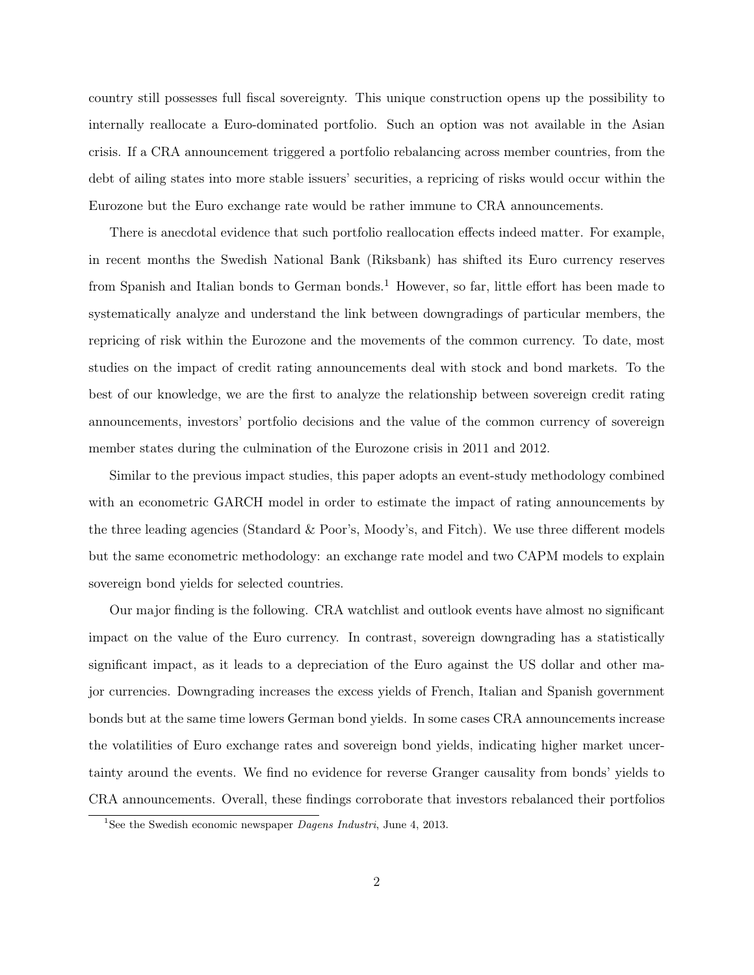country still possesses full fiscal sovereignty. This unique construction opens up the possibility to internally reallocate a Euro-dominated portfolio. Such an option was not available in the Asian crisis. If a CRA announcement triggered a portfolio rebalancing across member countries, from the debt of ailing states into more stable issuers' securities, a repricing of risks would occur within the Eurozone but the Euro exchange rate would be rather immune to CRA announcements.

There is anecdotal evidence that such portfolio reallocation effects indeed matter. For example, in recent months the Swedish National Bank (Riksbank) has shifted its Euro currency reserves from Spanish and Italian bonds to German bonds.<sup>1</sup> However, so far, little effort has been made to systematically analyze and understand the link between downgradings of particular members, the repricing of risk within the Eurozone and the movements of the common currency. To date, most studies on the impact of credit rating announcements deal with stock and bond markets. To the best of our knowledge, we are the first to analyze the relationship between sovereign credit rating announcements, investors' portfolio decisions and the value of the common currency of sovereign member states during the culmination of the Eurozone crisis in 2011 and 2012.

Similar to the previous impact studies, this paper adopts an event-study methodology combined with an econometric GARCH model in order to estimate the impact of rating announcements by the three leading agencies (Standard & Poor's, Moody's, and Fitch). We use three different models but the same econometric methodology: an exchange rate model and two CAPM models to explain sovereign bond yields for selected countries.

Our major finding is the following. CRA watchlist and outlook events have almost no significant impact on the value of the Euro currency. In contrast, sovereign downgrading has a statistically significant impact, as it leads to a depreciation of the Euro against the US dollar and other major currencies. Downgrading increases the excess yields of French, Italian and Spanish government bonds but at the same time lowers German bond yields. In some cases CRA announcements increase the volatilities of Euro exchange rates and sovereign bond yields, indicating higher market uncertainty around the events. We find no evidence for reverse Granger causality from bonds' yields to CRA announcements. Overall, these findings corroborate that investors rebalanced their portfolios

<sup>&</sup>lt;sup>1</sup>See the Swedish economic newspaper *Dagens Industri*, June 4, 2013.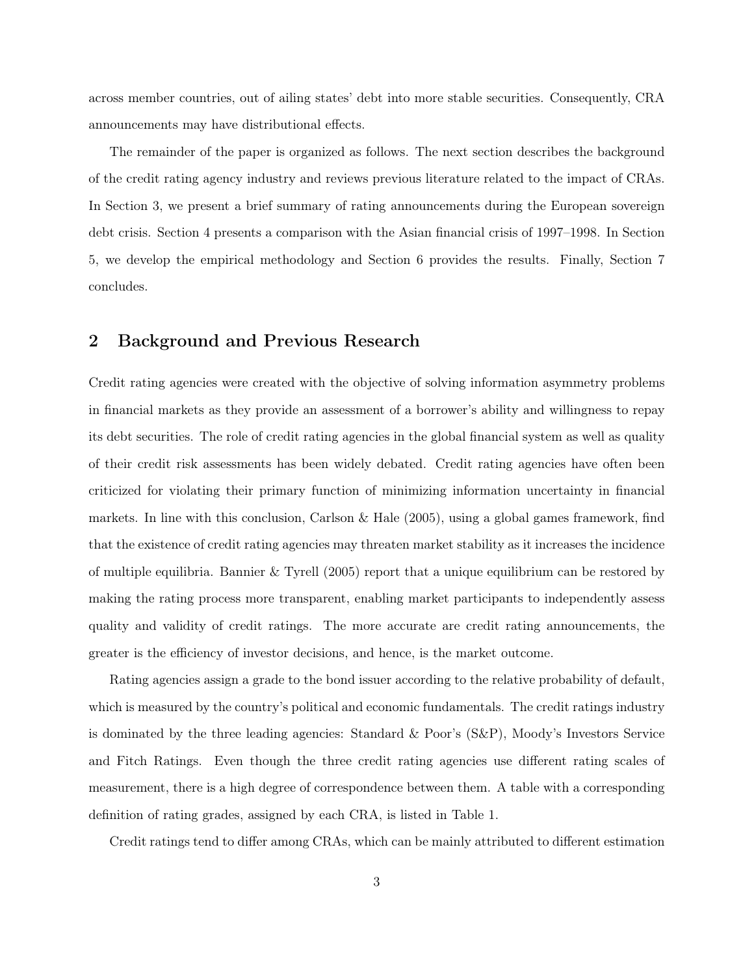across member countries, out of ailing states' debt into more stable securities. Consequently, CRA announcements may have distributional effects.

The remainder of the paper is organized as follows. The next section describes the background of the credit rating agency industry and reviews previous literature related to the impact of CRAs. In Section 3, we present a brief summary of rating announcements during the European sovereign debt crisis. Section 4 presents a comparison with the Asian financial crisis of 1997–1998. In Section 5, we develop the empirical methodology and Section 6 provides the results. Finally, Section 7 concludes.

# 2 Background and Previous Research

Credit rating agencies were created with the objective of solving information asymmetry problems in financial markets as they provide an assessment of a borrower's ability and willingness to repay its debt securities. The role of credit rating agencies in the global financial system as well as quality of their credit risk assessments has been widely debated. Credit rating agencies have often been criticized for violating their primary function of minimizing information uncertainty in financial markets. In line with this conclusion, Carlson & Hale  $(2005)$ , using a global games framework, find that the existence of credit rating agencies may threaten market stability as it increases the incidence of multiple equilibria. Bannier & Tyrell (2005) report that a unique equilibrium can be restored by making the rating process more transparent, enabling market participants to independently assess quality and validity of credit ratings. The more accurate are credit rating announcements, the greater is the efficiency of investor decisions, and hence, is the market outcome.

Rating agencies assign a grade to the bond issuer according to the relative probability of default, which is measured by the country's political and economic fundamentals. The credit ratings industry is dominated by the three leading agencies: Standard & Poor's (S&P), Moody's Investors Service and Fitch Ratings. Even though the three credit rating agencies use different rating scales of measurement, there is a high degree of correspondence between them. A table with a corresponding definition of rating grades, assigned by each CRA, is listed in Table 1.

Credit ratings tend to differ among CRAs, which can be mainly attributed to different estimation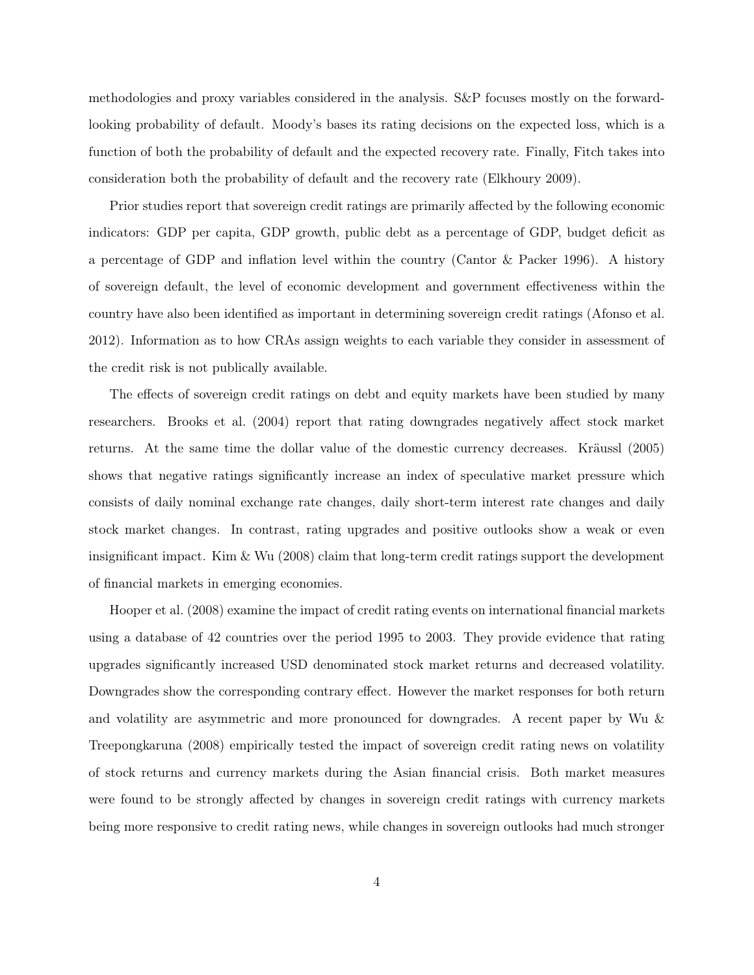methodologies and proxy variables considered in the analysis. S&P focuses mostly on the forwardlooking probability of default. Moody's bases its rating decisions on the expected loss, which is a function of both the probability of default and the expected recovery rate. Finally, Fitch takes into consideration both the probability of default and the recovery rate (Elkhoury 2009).

Prior studies report that sovereign credit ratings are primarily affected by the following economic indicators: GDP per capita, GDP growth, public debt as a percentage of GDP, budget deficit as a percentage of GDP and inflation level within the country (Cantor & Packer 1996). A history of sovereign default, the level of economic development and government effectiveness within the country have also been identified as important in determining sovereign credit ratings (Afonso et al. 2012). Information as to how CRAs assign weights to each variable they consider in assessment of the credit risk is not publically available.

The effects of sovereign credit ratings on debt and equity markets have been studied by many researchers. Brooks et al. (2004) report that rating downgrades negatively affect stock market returns. At the same time the dollar value of the domestic currency decreases. Kräussl (2005) shows that negative ratings significantly increase an index of speculative market pressure which consists of daily nominal exchange rate changes, daily short-term interest rate changes and daily stock market changes. In contrast, rating upgrades and positive outlooks show a weak or even insignificant impact. Kim & Wu (2008) claim that long-term credit ratings support the development of financial markets in emerging economies.

Hooper et al. (2008) examine the impact of credit rating events on international financial markets using a database of 42 countries over the period 1995 to 2003. They provide evidence that rating upgrades significantly increased USD denominated stock market returns and decreased volatility. Downgrades show the corresponding contrary effect. However the market responses for both return and volatility are asymmetric and more pronounced for downgrades. A recent paper by Wu & Treepongkaruna (2008) empirically tested the impact of sovereign credit rating news on volatility of stock returns and currency markets during the Asian financial crisis. Both market measures were found to be strongly affected by changes in sovereign credit ratings with currency markets being more responsive to credit rating news, while changes in sovereign outlooks had much stronger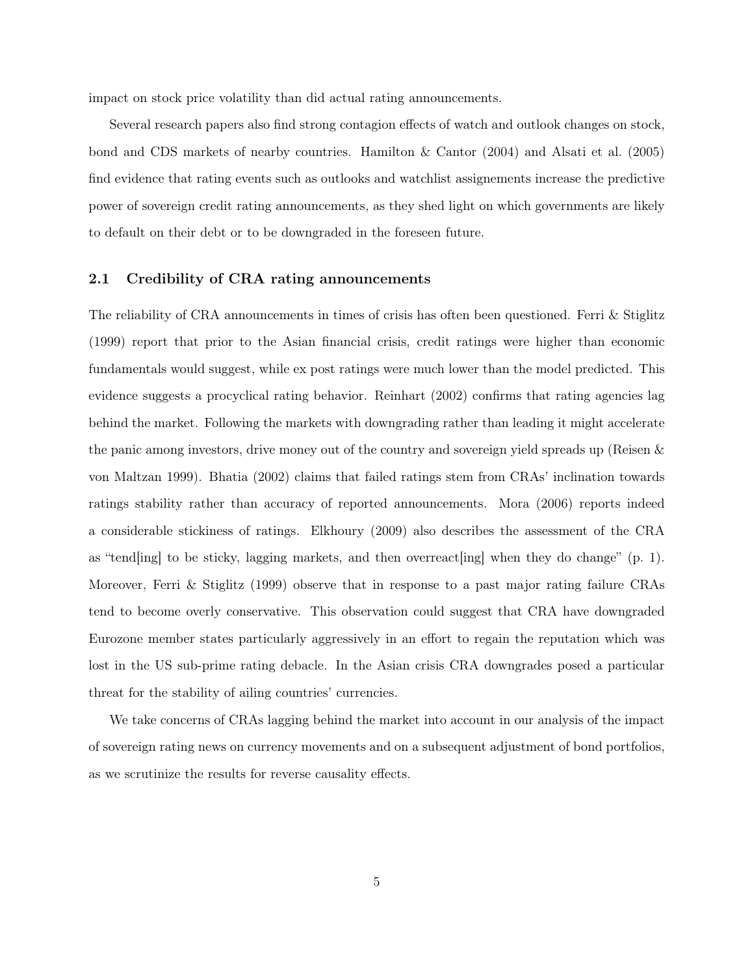impact on stock price volatility than did actual rating announcements.

Several research papers also find strong contagion effects of watch and outlook changes on stock, bond and CDS markets of nearby countries. Hamilton & Cantor (2004) and Alsati et al. (2005) find evidence that rating events such as outlooks and watchlist assignements increase the predictive power of sovereign credit rating announcements, as they shed light on which governments are likely to default on their debt or to be downgraded in the foreseen future.

## 2.1 Credibility of CRA rating announcements

The reliability of CRA announcements in times of crisis has often been questioned. Ferri & Stiglitz (1999) report that prior to the Asian financial crisis, credit ratings were higher than economic fundamentals would suggest, while ex post ratings were much lower than the model predicted. This evidence suggests a procyclical rating behavior. Reinhart (2002) confirms that rating agencies lag behind the market. Following the markets with downgrading rather than leading it might accelerate the panic among investors, drive money out of the country and sovereign yield spreads up (Reisen & von Maltzan 1999). Bhatia (2002) claims that failed ratings stem from CRAs' inclination towards ratings stability rather than accuracy of reported announcements. Mora (2006) reports indeed a considerable stickiness of ratings. Elkhoury (2009) also describes the assessment of the CRA as "tend[ing] to be sticky, lagging markets, and then overreact[ing] when they do change" (p. 1). Moreover, Ferri & Stiglitz (1999) observe that in response to a past major rating failure CRAs tend to become overly conservative. This observation could suggest that CRA have downgraded Eurozone member states particularly aggressively in an effort to regain the reputation which was lost in the US sub-prime rating debacle. In the Asian crisis CRA downgrades posed a particular threat for the stability of ailing countries' currencies.

We take concerns of CRAs lagging behind the market into account in our analysis of the impact of sovereign rating news on currency movements and on a subsequent adjustment of bond portfolios, as we scrutinize the results for reverse causality effects.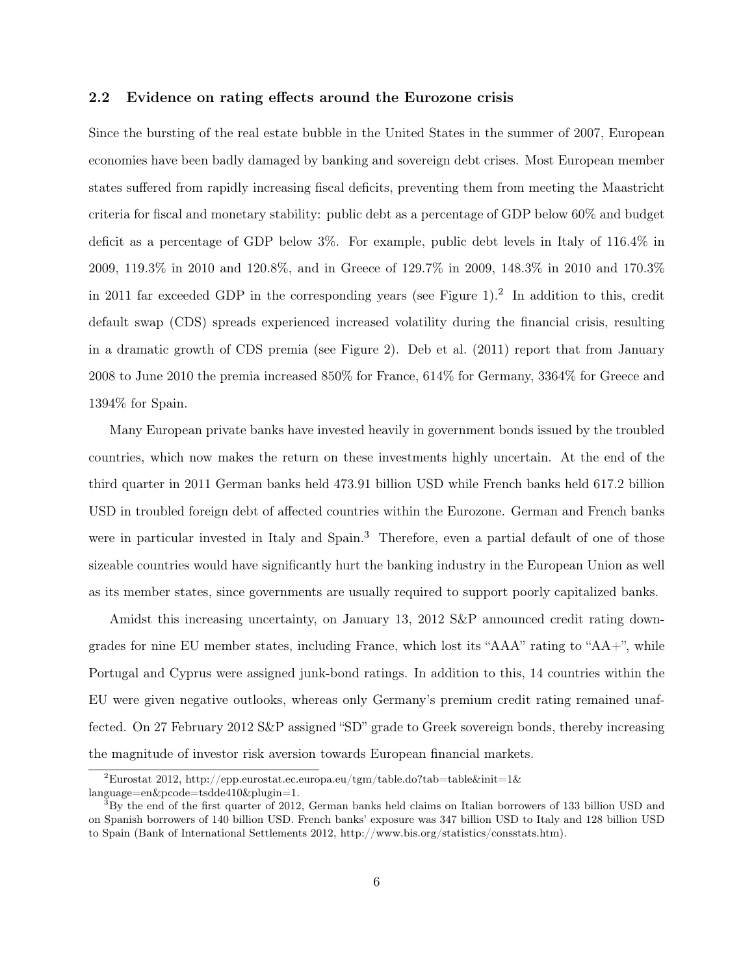## 2.2 Evidence on rating effects around the Eurozone crisis

Since the bursting of the real estate bubble in the United States in the summer of 2007, European economies have been badly damaged by banking and sovereign debt crises. Most European member states suffered from rapidly increasing fiscal deficits, preventing them from meeting the Maastricht criteria for fiscal and monetary stability: public debt as a percentage of GDP below 60% and budget deficit as a percentage of GDP below 3%. For example, public debt levels in Italy of 116.4% in 2009, 119.3% in 2010 and 120.8%, and in Greece of 129.7% in 2009, 148.3% in 2010 and 170.3% in 2011 far exceeded GDP in the corresponding years (see Figure 1).<sup>2</sup> In addition to this, credit default swap (CDS) spreads experienced increased volatility during the financial crisis, resulting in a dramatic growth of CDS premia (see Figure 2). Deb et al. (2011) report that from January 2008 to June 2010 the premia increased 850% for France, 614% for Germany, 3364% for Greece and 1394% for Spain.

Many European private banks have invested heavily in government bonds issued by the troubled countries, which now makes the return on these investments highly uncertain. At the end of the third quarter in 2011 German banks held 473.91 billion USD while French banks held 617.2 billion USD in troubled foreign debt of affected countries within the Eurozone. German and French banks were in particular invested in Italy and Spain.<sup>3</sup> Therefore, even a partial default of one of those sizeable countries would have significantly hurt the banking industry in the European Union as well as its member states, since governments are usually required to support poorly capitalized banks.

Amidst this increasing uncertainty, on January 13, 2012 S&P announced credit rating downgrades for nine EU member states, including France, which lost its "AAA" rating to "AA+", while Portugal and Cyprus were assigned junk-bond ratings. In addition to this, 14 countries within the EU were given negative outlooks, whereas only Germany's premium credit rating remained unaffected. On 27 February 2012 S&P assigned "SD" grade to Greek sovereign bonds, thereby increasing the magnitude of investor risk aversion towards European financial markets.

<sup>&</sup>lt;sup>2</sup>Eurostat 2012, http://epp.eurostat.ec.europa.eu/tgm/table.do?tab=table&init=1& language=en&pcode=tsdde410&plugin=1.

<sup>3</sup>By the end of the first quarter of 2012, German banks held claims on Italian borrowers of 133 billion USD and on Spanish borrowers of 140 billion USD. French banks' exposure was 347 billion USD to Italy and 128 billion USD to Spain (Bank of International Settlements 2012, http://www.bis.org/statistics/consstats.htm).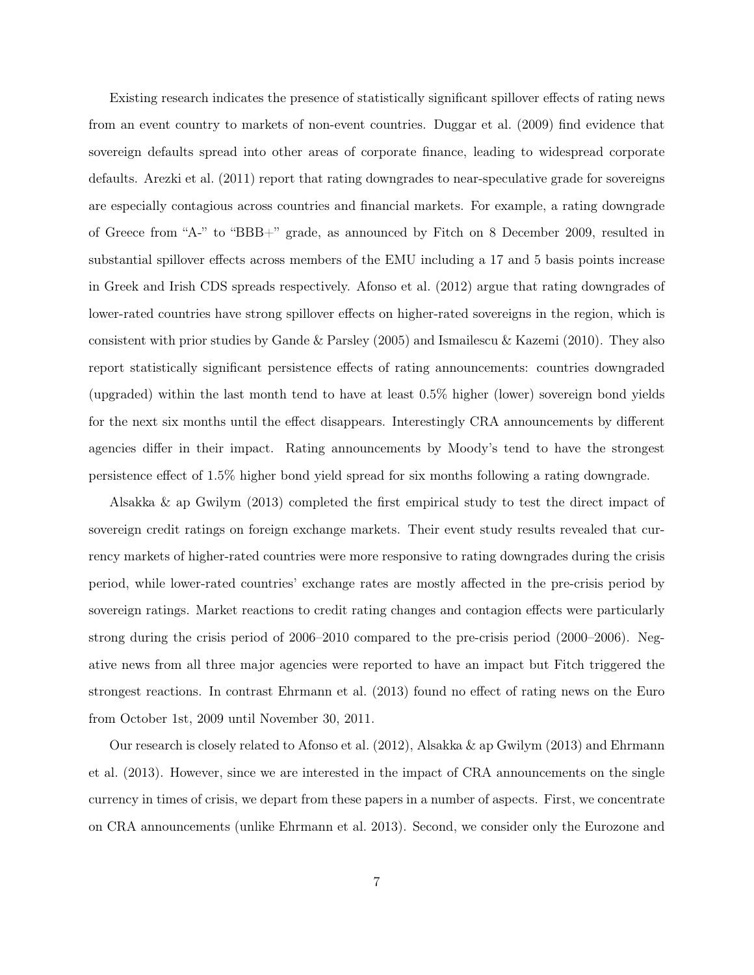Existing research indicates the presence of statistically significant spillover effects of rating news from an event country to markets of non-event countries. Duggar et al. (2009) find evidence that sovereign defaults spread into other areas of corporate finance, leading to widespread corporate defaults. Arezki et al. (2011) report that rating downgrades to near-speculative grade for sovereigns are especially contagious across countries and financial markets. For example, a rating downgrade of Greece from "A-" to "BBB+" grade, as announced by Fitch on 8 December 2009, resulted in substantial spillover effects across members of the EMU including a 17 and 5 basis points increase in Greek and Irish CDS spreads respectively. Afonso et al. (2012) argue that rating downgrades of lower-rated countries have strong spillover effects on higher-rated sovereigns in the region, which is consistent with prior studies by Gande & Parsley (2005) and Ismailescu & Kazemi (2010). They also report statistically significant persistence effects of rating announcements: countries downgraded (upgraded) within the last month tend to have at least 0.5% higher (lower) sovereign bond yields for the next six months until the effect disappears. Interestingly CRA announcements by different agencies differ in their impact. Rating announcements by Moody's tend to have the strongest persistence effect of 1.5% higher bond yield spread for six months following a rating downgrade.

Alsakka & ap Gwilym (2013) completed the first empirical study to test the direct impact of sovereign credit ratings on foreign exchange markets. Their event study results revealed that currency markets of higher-rated countries were more responsive to rating downgrades during the crisis period, while lower-rated countries' exchange rates are mostly affected in the pre-crisis period by sovereign ratings. Market reactions to credit rating changes and contagion effects were particularly strong during the crisis period of 2006–2010 compared to the pre-crisis period (2000–2006). Negative news from all three major agencies were reported to have an impact but Fitch triggered the strongest reactions. In contrast Ehrmann et al. (2013) found no effect of rating news on the Euro from October 1st, 2009 until November 30, 2011.

Our research is closely related to Afonso et al. (2012), Alsakka & ap Gwilym (2013) and Ehrmann et al. (2013). However, since we are interested in the impact of CRA announcements on the single currency in times of crisis, we depart from these papers in a number of aspects. First, we concentrate on CRA announcements (unlike Ehrmann et al. 2013). Second, we consider only the Eurozone and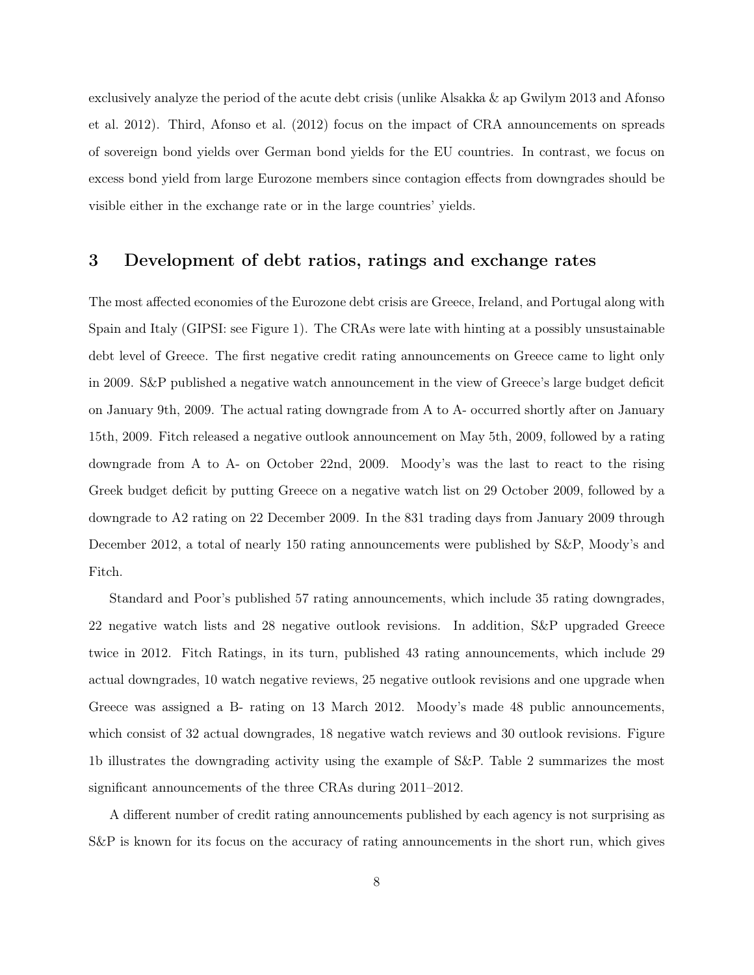exclusively analyze the period of the acute debt crisis (unlike Alsakka & ap Gwilym 2013 and Afonso et al. 2012). Third, Afonso et al. (2012) focus on the impact of CRA announcements on spreads of sovereign bond yields over German bond yields for the EU countries. In contrast, we focus on excess bond yield from large Eurozone members since contagion effects from downgrades should be visible either in the exchange rate or in the large countries' yields.

# 3 Development of debt ratios, ratings and exchange rates

The most affected economies of the Eurozone debt crisis are Greece, Ireland, and Portugal along with Spain and Italy (GIPSI: see Figure 1). The CRAs were late with hinting at a possibly unsustainable debt level of Greece. The first negative credit rating announcements on Greece came to light only in 2009. S&P published a negative watch announcement in the view of Greece's large budget deficit on January 9th, 2009. The actual rating downgrade from A to A- occurred shortly after on January 15th, 2009. Fitch released a negative outlook announcement on May 5th, 2009, followed by a rating downgrade from A to A- on October 22nd, 2009. Moody's was the last to react to the rising Greek budget deficit by putting Greece on a negative watch list on 29 October 2009, followed by a downgrade to A2 rating on 22 December 2009. In the 831 trading days from January 2009 through December 2012, a total of nearly 150 rating announcements were published by S&P, Moody's and Fitch.

Standard and Poor's published 57 rating announcements, which include 35 rating downgrades, 22 negative watch lists and 28 negative outlook revisions. In addition, S&P upgraded Greece twice in 2012. Fitch Ratings, in its turn, published 43 rating announcements, which include 29 actual downgrades, 10 watch negative reviews, 25 negative outlook revisions and one upgrade when Greece was assigned a B- rating on 13 March 2012. Moody's made 48 public announcements, which consist of 32 actual downgrades, 18 negative watch reviews and 30 outlook revisions. Figure 1b illustrates the downgrading activity using the example of S&P. Table 2 summarizes the most significant announcements of the three CRAs during 2011–2012.

A different number of credit rating announcements published by each agency is not surprising as S&P is known for its focus on the accuracy of rating announcements in the short run, which gives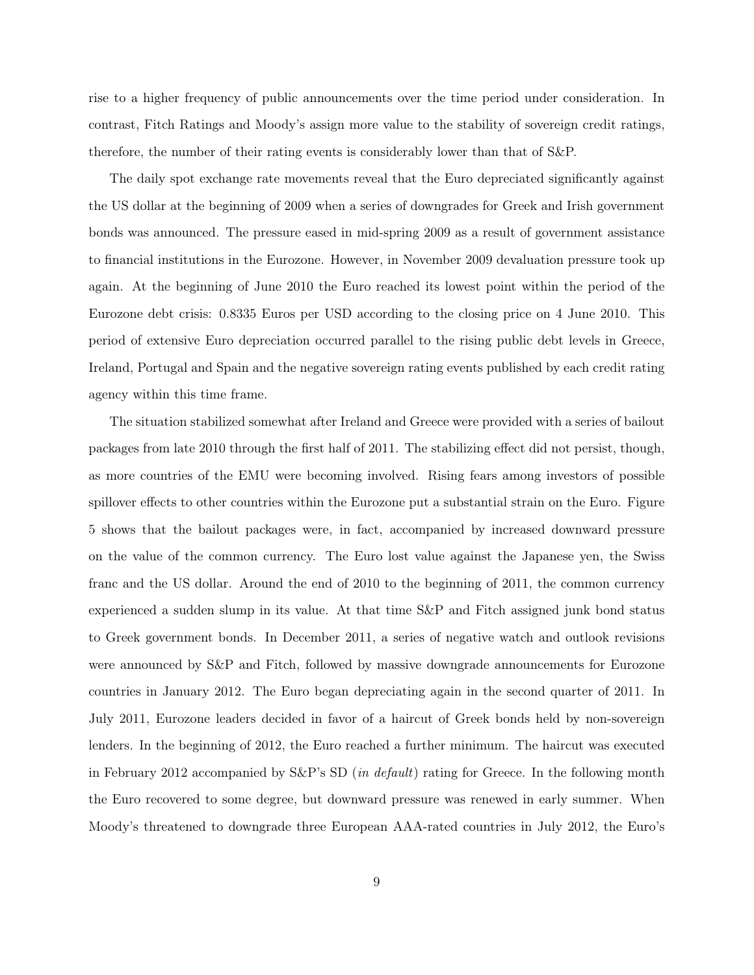rise to a higher frequency of public announcements over the time period under consideration. In contrast, Fitch Ratings and Moody's assign more value to the stability of sovereign credit ratings, therefore, the number of their rating events is considerably lower than that of S&P.

The daily spot exchange rate movements reveal that the Euro depreciated significantly against the US dollar at the beginning of 2009 when a series of downgrades for Greek and Irish government bonds was announced. The pressure eased in mid-spring 2009 as a result of government assistance to financial institutions in the Eurozone. However, in November 2009 devaluation pressure took up again. At the beginning of June 2010 the Euro reached its lowest point within the period of the Eurozone debt crisis: 0.8335 Euros per USD according to the closing price on 4 June 2010. This period of extensive Euro depreciation occurred parallel to the rising public debt levels in Greece, Ireland, Portugal and Spain and the negative sovereign rating events published by each credit rating agency within this time frame.

The situation stabilized somewhat after Ireland and Greece were provided with a series of bailout packages from late 2010 through the first half of 2011. The stabilizing effect did not persist, though, as more countries of the EMU were becoming involved. Rising fears among investors of possible spillover effects to other countries within the Eurozone put a substantial strain on the Euro. Figure 5 shows that the bailout packages were, in fact, accompanied by increased downward pressure on the value of the common currency. The Euro lost value against the Japanese yen, the Swiss franc and the US dollar. Around the end of 2010 to the beginning of 2011, the common currency experienced a sudden slump in its value. At that time S&P and Fitch assigned junk bond status to Greek government bonds. In December 2011, a series of negative watch and outlook revisions were announced by S&P and Fitch, followed by massive downgrade announcements for Eurozone countries in January 2012. The Euro began depreciating again in the second quarter of 2011. In July 2011, Eurozone leaders decided in favor of a haircut of Greek bonds held by non-sovereign lenders. In the beginning of 2012, the Euro reached a further minimum. The haircut was executed in February 2012 accompanied by  $S\&P$ 's SD (*in default*) rating for Greece. In the following month the Euro recovered to some degree, but downward pressure was renewed in early summer. When Moody's threatened to downgrade three European AAA-rated countries in July 2012, the Euro's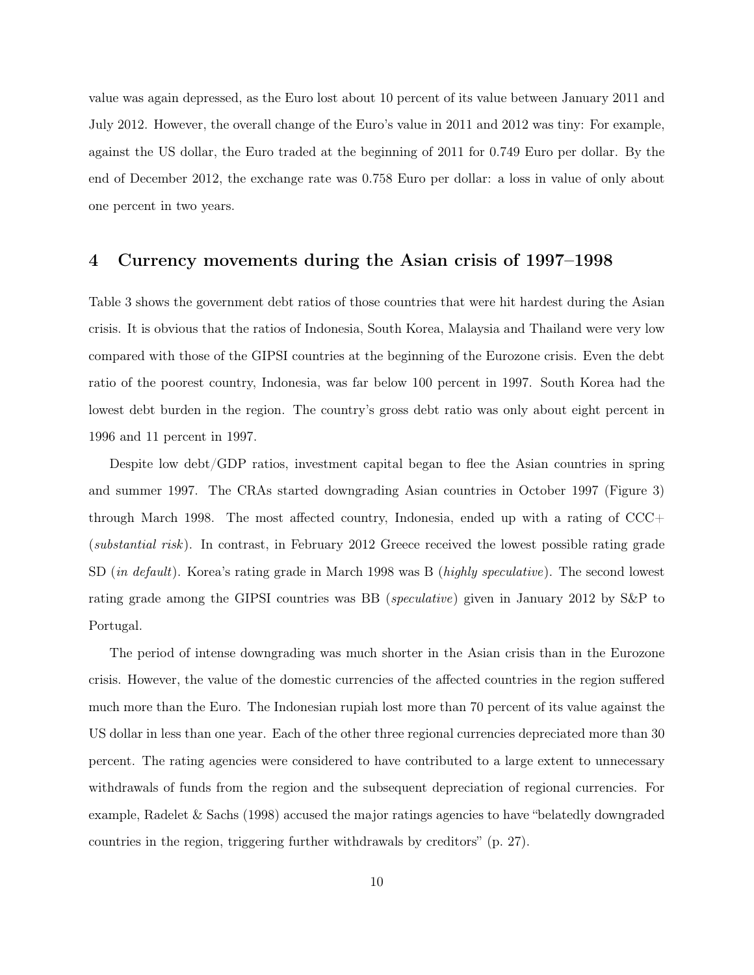value was again depressed, as the Euro lost about 10 percent of its value between January 2011 and July 2012. However, the overall change of the Euro's value in 2011 and 2012 was tiny: For example, against the US dollar, the Euro traded at the beginning of 2011 for 0.749 Euro per dollar. By the end of December 2012, the exchange rate was 0.758 Euro per dollar: a loss in value of only about one percent in two years.

# 4 Currency movements during the Asian crisis of 1997–1998

Table 3 shows the government debt ratios of those countries that were hit hardest during the Asian crisis. It is obvious that the ratios of Indonesia, South Korea, Malaysia and Thailand were very low compared with those of the GIPSI countries at the beginning of the Eurozone crisis. Even the debt ratio of the poorest country, Indonesia, was far below 100 percent in 1997. South Korea had the lowest debt burden in the region. The country's gross debt ratio was only about eight percent in 1996 and 11 percent in 1997.

Despite low debt/GDP ratios, investment capital began to flee the Asian countries in spring and summer 1997. The CRAs started downgrading Asian countries in October 1997 (Figure 3) through March 1998. The most affected country, Indonesia, ended up with a rating of CCC+ (substantial risk). In contrast, in February 2012 Greece received the lowest possible rating grade SD (in default). Korea's rating grade in March 1998 was B (highly speculative). The second lowest rating grade among the GIPSI countries was BB (speculative) given in January 2012 by S&P to Portugal.

The period of intense downgrading was much shorter in the Asian crisis than in the Eurozone crisis. However, the value of the domestic currencies of the affected countries in the region suffered much more than the Euro. The Indonesian rupiah lost more than 70 percent of its value against the US dollar in less than one year. Each of the other three regional currencies depreciated more than 30 percent. The rating agencies were considered to have contributed to a large extent to unnecessary withdrawals of funds from the region and the subsequent depreciation of regional currencies. For example, Radelet & Sachs (1998) accused the major ratings agencies to have "belatedly downgraded countries in the region, triggering further withdrawals by creditors" (p. 27).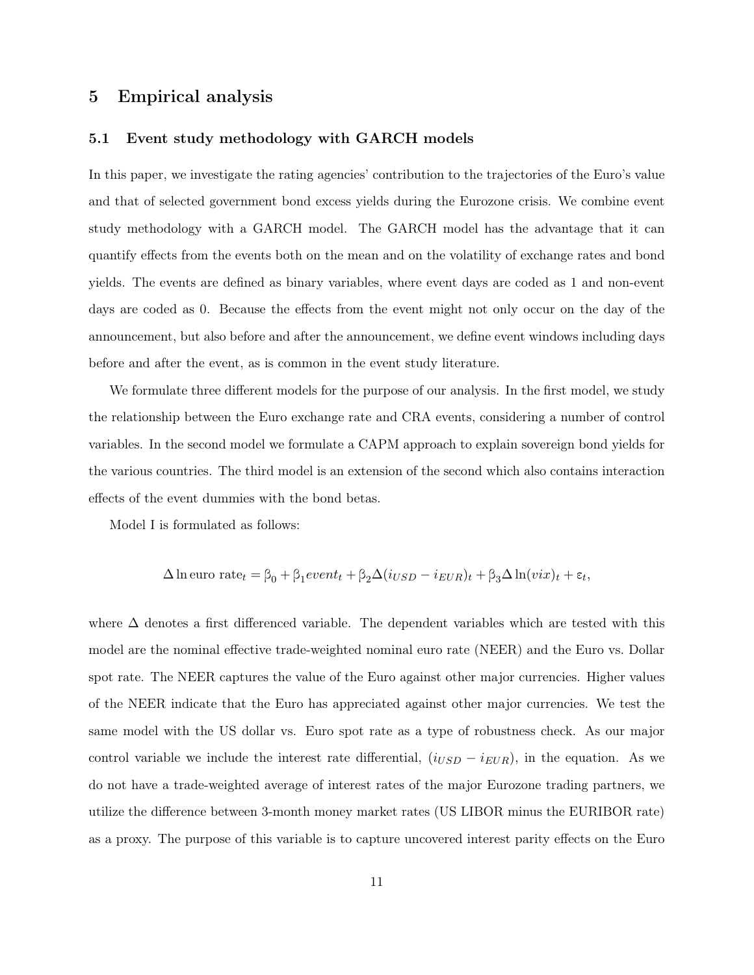## 5 Empirical analysis

## 5.1 Event study methodology with GARCH models

In this paper, we investigate the rating agencies' contribution to the trajectories of the Euro's value and that of selected government bond excess yields during the Eurozone crisis. We combine event study methodology with a GARCH model. The GARCH model has the advantage that it can quantify effects from the events both on the mean and on the volatility of exchange rates and bond yields. The events are defined as binary variables, where event days are coded as 1 and non-event days are coded as 0. Because the effects from the event might not only occur on the day of the announcement, but also before and after the announcement, we define event windows including days before and after the event, as is common in the event study literature.

We formulate three different models for the purpose of our analysis. In the first model, we study the relationship between the Euro exchange rate and CRA events, considering a number of control variables. In the second model we formulate a CAPM approach to explain sovereign bond yields for the various countries. The third model is an extension of the second which also contains interaction effects of the event dummies with the bond betas.

Model I is formulated as follows:

$$
\Delta \ln \text{euro rate}_{t} = \beta_0 + \beta_1 \text{event}_{t} + \beta_2 \Delta (i_{USD} - i_{EUR})_{t} + \beta_3 \Delta \ln (vix)_{t} + \varepsilon_t,
$$

where ∆ denotes a first differenced variable. The dependent variables which are tested with this model are the nominal effective trade-weighted nominal euro rate (NEER) and the Euro vs. Dollar spot rate. The NEER captures the value of the Euro against other major currencies. Higher values of the NEER indicate that the Euro has appreciated against other major currencies. We test the same model with the US dollar vs. Euro spot rate as a type of robustness check. As our major control variable we include the interest rate differential,  $(i_{USD} - i_{EUR})$ , in the equation. As we do not have a trade-weighted average of interest rates of the major Eurozone trading partners, we utilize the difference between 3-month money market rates (US LIBOR minus the EURIBOR rate) as a proxy. The purpose of this variable is to capture uncovered interest parity effects on the Euro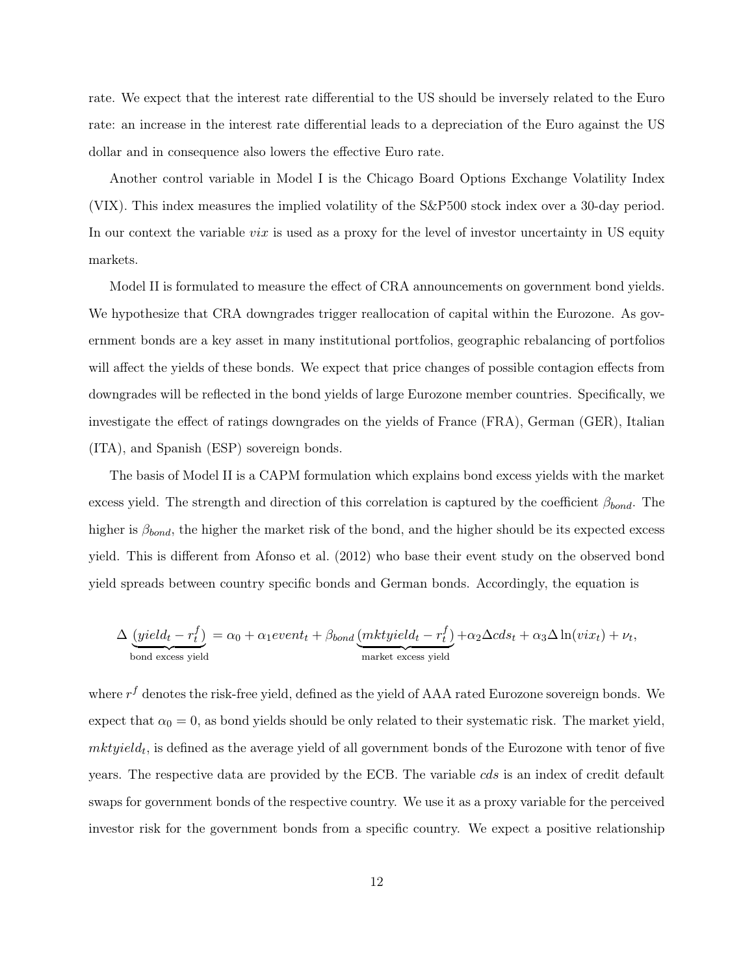rate. We expect that the interest rate differential to the US should be inversely related to the Euro rate: an increase in the interest rate differential leads to a depreciation of the Euro against the US dollar and in consequence also lowers the effective Euro rate.

Another control variable in Model I is the Chicago Board Options Exchange Volatility Index (VIX). This index measures the implied volatility of the S&P500 stock index over a 30-day period. In our context the variable *vix* is used as a proxy for the level of investor uncertainty in US equity markets.

Model II is formulated to measure the effect of CRA announcements on government bond yields. We hypothesize that CRA downgrades trigger reallocation of capital within the Eurozone. As government bonds are a key asset in many institutional portfolios, geographic rebalancing of portfolios will affect the yields of these bonds. We expect that price changes of possible contagion effects from downgrades will be reflected in the bond yields of large Eurozone member countries. Specifically, we investigate the effect of ratings downgrades on the yields of France (FRA), German (GER), Italian (ITA), and Spanish (ESP) sovereign bonds.

The basis of Model II is a CAPM formulation which explains bond excess yields with the market excess yield. The strength and direction of this correlation is captured by the coefficient  $\beta_{bond}$ . The higher is  $\beta_{bond}$ , the higher the market risk of the bond, and the higher should be its expected excess yield. This is different from Afonso et al. (2012) who base their event study on the observed bond yield spreads between country specific bonds and German bonds. Accordingly, the equation is

$$
\Delta \underbrace{(yield_t - r_t^f)}_{\text{bond excess yield}} = \alpha_0 + \alpha_1 event_t + \beta_{bond} \underbrace{(mktyield_t - r_t^f)}_{\text{market excess yield}} + \alpha_2 \Delta c ds_t + \alpha_3 \Delta \ln(vix_t) + \nu_t,
$$

where  $r^f$  denotes the risk-free yield, defined as the yield of AAA rated Eurozone sovereign bonds. We expect that  $\alpha_0 = 0$ , as bond yields should be only related to their systematic risk. The market yield,  $mkt yield_t$ , is defined as the average yield of all government bonds of the Eurozone with tenor of five years. The respective data are provided by the ECB. The variable cds is an index of credit default swaps for government bonds of the respective country. We use it as a proxy variable for the perceived investor risk for the government bonds from a specific country. We expect a positive relationship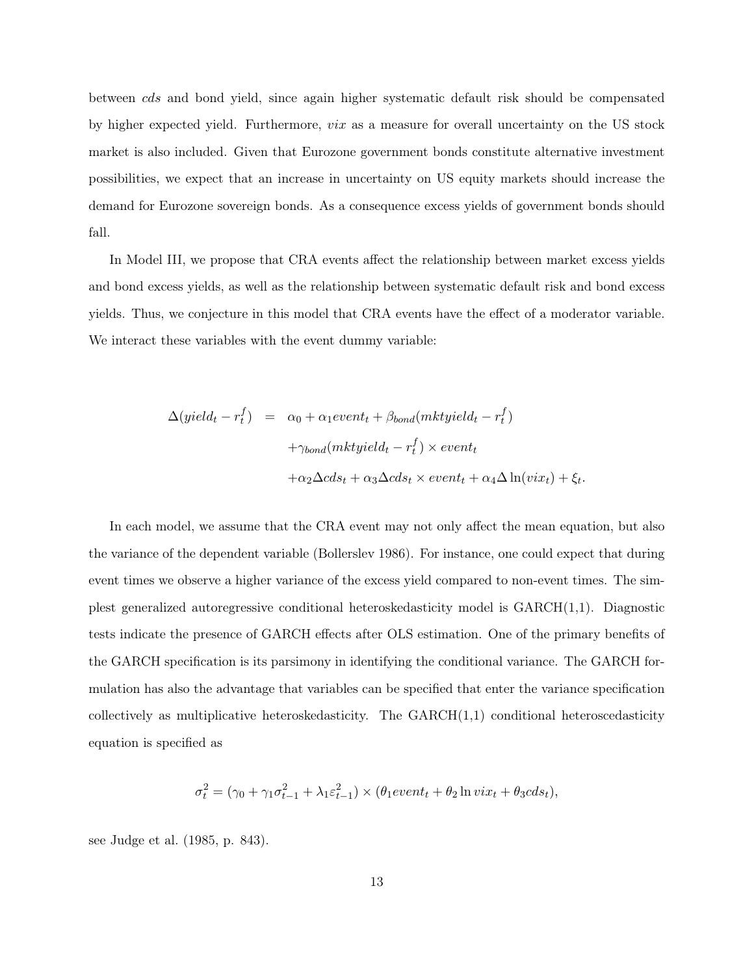between cds and bond yield, since again higher systematic default risk should be compensated by higher expected yield. Furthermore,  $\text{viz}$  as a measure for overall uncertainty on the US stock market is also included. Given that Eurozone government bonds constitute alternative investment possibilities, we expect that an increase in uncertainty on US equity markets should increase the demand for Eurozone sovereign bonds. As a consequence excess yields of government bonds should fall.

In Model III, we propose that CRA events affect the relationship between market excess yields and bond excess yields, as well as the relationship between systematic default risk and bond excess yields. Thus, we conjecture in this model that CRA events have the effect of a moderator variable. We interact these variables with the event dummy variable:

$$
\Delta(yield_t - r_t^f) = \alpha_0 + \alpha_1 event_t + \beta_{bond}(mktyield_t - r_t^f)
$$

$$
+ \gamma_{bond}(mktyield_t - r_t^f) \times event_t
$$

$$
+ \alpha_2 \Delta cds_t + \alpha_3 \Delta cds_t \times event_t + \alpha_4 \Delta \ln(vix_t) + \xi_t.
$$

In each model, we assume that the CRA event may not only affect the mean equation, but also the variance of the dependent variable (Bollerslev 1986). For instance, one could expect that during event times we observe a higher variance of the excess yield compared to non-event times. The simplest generalized autoregressive conditional heteroskedasticity model is GARCH(1,1). Diagnostic tests indicate the presence of GARCH effects after OLS estimation. One of the primary benefits of the GARCH specification is its parsimony in identifying the conditional variance. The GARCH formulation has also the advantage that variables can be specified that enter the variance specification collectively as multiplicative heteroskedasticity. The  $GARCH(1,1)$  conditional heteroscedasticity equation is specified as

$$
\sigma_t^2 = (\gamma_0 + \gamma_1 \sigma_{t-1}^2 + \lambda_1 \varepsilon_{t-1}^2) \times (\theta_1 event_t + \theta_2 \ln vix_t + \theta_3 c ds_t),
$$

see Judge et al. (1985, p. 843).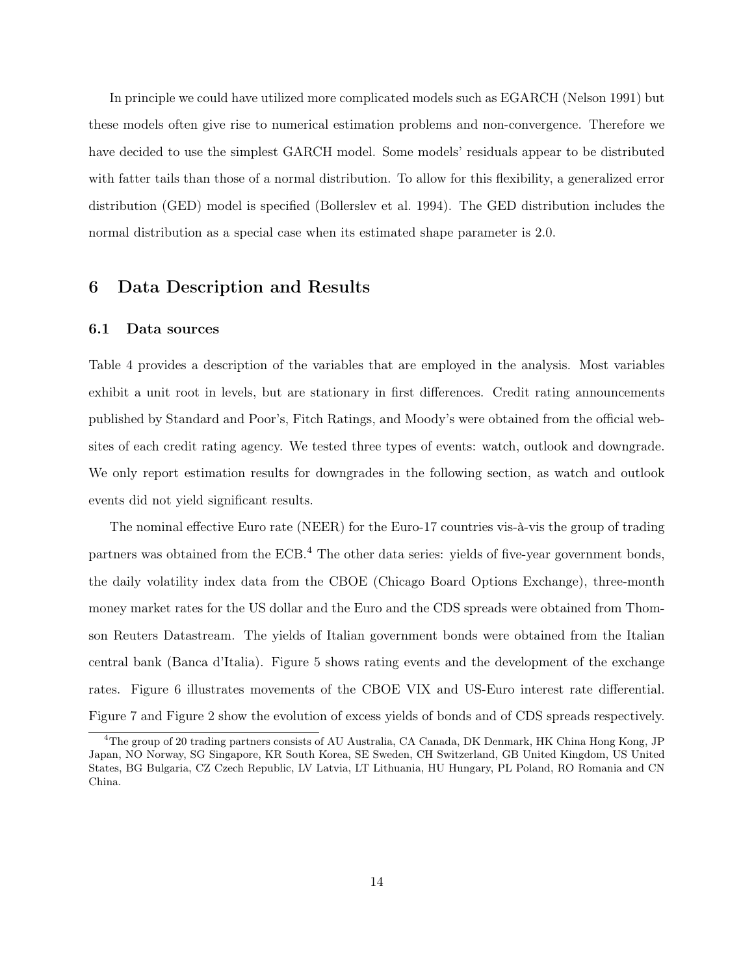In principle we could have utilized more complicated models such as EGARCH (Nelson 1991) but these models often give rise to numerical estimation problems and non-convergence. Therefore we have decided to use the simplest GARCH model. Some models' residuals appear to be distributed with fatter tails than those of a normal distribution. To allow for this flexibility, a generalized error distribution (GED) model is specified (Bollerslev et al. 1994). The GED distribution includes the normal distribution as a special case when its estimated shape parameter is 2.0.

# 6 Data Description and Results

#### 6.1 Data sources

Table 4 provides a description of the variables that are employed in the analysis. Most variables exhibit a unit root in levels, but are stationary in first differences. Credit rating announcements published by Standard and Poor's, Fitch Ratings, and Moody's were obtained from the official websites of each credit rating agency. We tested three types of events: watch, outlook and downgrade. We only report estimation results for downgrades in the following section, as watch and outlook events did not yield significant results.

The nominal effective Euro rate (NEER) for the Euro-17 countries vis-à-vis the group of trading partners was obtained from the ECB.<sup>4</sup> The other data series: yields of five-year government bonds, the daily volatility index data from the CBOE (Chicago Board Options Exchange), three-month money market rates for the US dollar and the Euro and the CDS spreads were obtained from Thomson Reuters Datastream. The yields of Italian government bonds were obtained from the Italian central bank (Banca d'Italia). Figure 5 shows rating events and the development of the exchange rates. Figure 6 illustrates movements of the CBOE VIX and US-Euro interest rate differential. Figure 7 and Figure 2 show the evolution of excess yields of bonds and of CDS spreads respectively.

<sup>&</sup>lt;sup>4</sup>The group of 20 trading partners consists of AU Australia, CA Canada, DK Denmark, HK China Hong Kong, JP Japan, NO Norway, SG Singapore, KR South Korea, SE Sweden, CH Switzerland, GB United Kingdom, US United States, BG Bulgaria, CZ Czech Republic, LV Latvia, LT Lithuania, HU Hungary, PL Poland, RO Romania and CN China.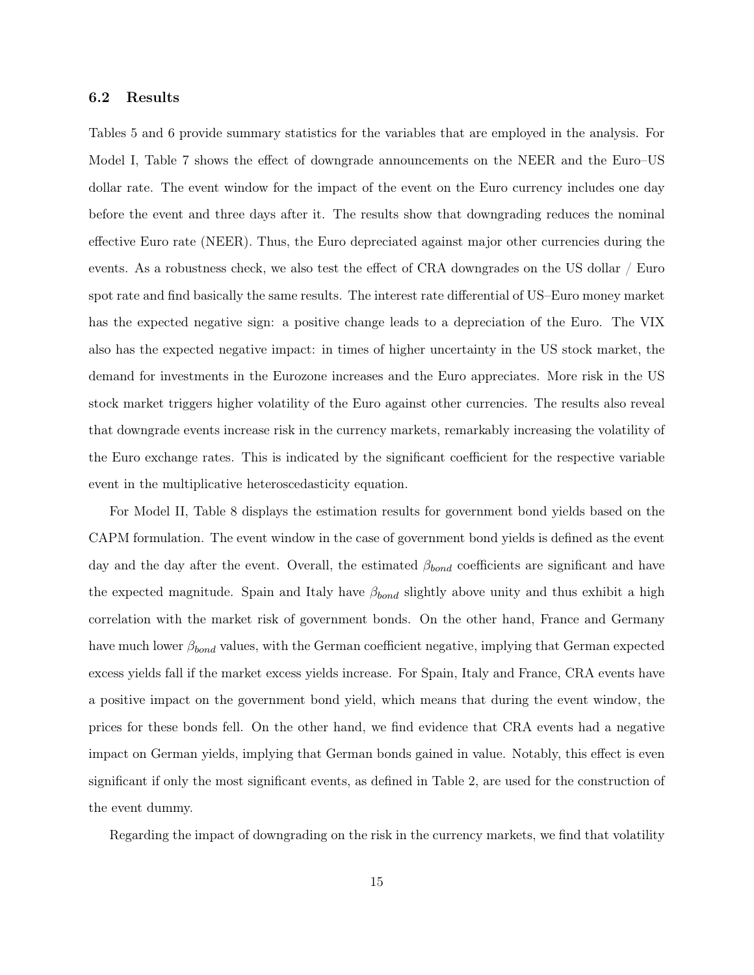## 6.2 Results

Tables 5 and 6 provide summary statistics for the variables that are employed in the analysis. For Model I, Table 7 shows the effect of downgrade announcements on the NEER and the Euro–US dollar rate. The event window for the impact of the event on the Euro currency includes one day before the event and three days after it. The results show that downgrading reduces the nominal effective Euro rate (NEER). Thus, the Euro depreciated against major other currencies during the events. As a robustness check, we also test the effect of CRA downgrades on the US dollar / Euro spot rate and find basically the same results. The interest rate differential of US–Euro money market has the expected negative sign: a positive change leads to a depreciation of the Euro. The VIX also has the expected negative impact: in times of higher uncertainty in the US stock market, the demand for investments in the Eurozone increases and the Euro appreciates. More risk in the US stock market triggers higher volatility of the Euro against other currencies. The results also reveal that downgrade events increase risk in the currency markets, remarkably increasing the volatility of the Euro exchange rates. This is indicated by the significant coefficient for the respective variable event in the multiplicative heteroscedasticity equation.

For Model II, Table 8 displays the estimation results for government bond yields based on the CAPM formulation. The event window in the case of government bond yields is defined as the event day and the day after the event. Overall, the estimated  $\beta_{bond}$  coefficients are significant and have the expected magnitude. Spain and Italy have  $\beta_{bond}$  slightly above unity and thus exhibit a high correlation with the market risk of government bonds. On the other hand, France and Germany have much lower  $\beta_{bond}$  values, with the German coefficient negative, implying that German expected excess yields fall if the market excess yields increase. For Spain, Italy and France, CRA events have a positive impact on the government bond yield, which means that during the event window, the prices for these bonds fell. On the other hand, we find evidence that CRA events had a negative impact on German yields, implying that German bonds gained in value. Notably, this effect is even significant if only the most significant events, as defined in Table 2, are used for the construction of the event dummy.

Regarding the impact of downgrading on the risk in the currency markets, we find that volatility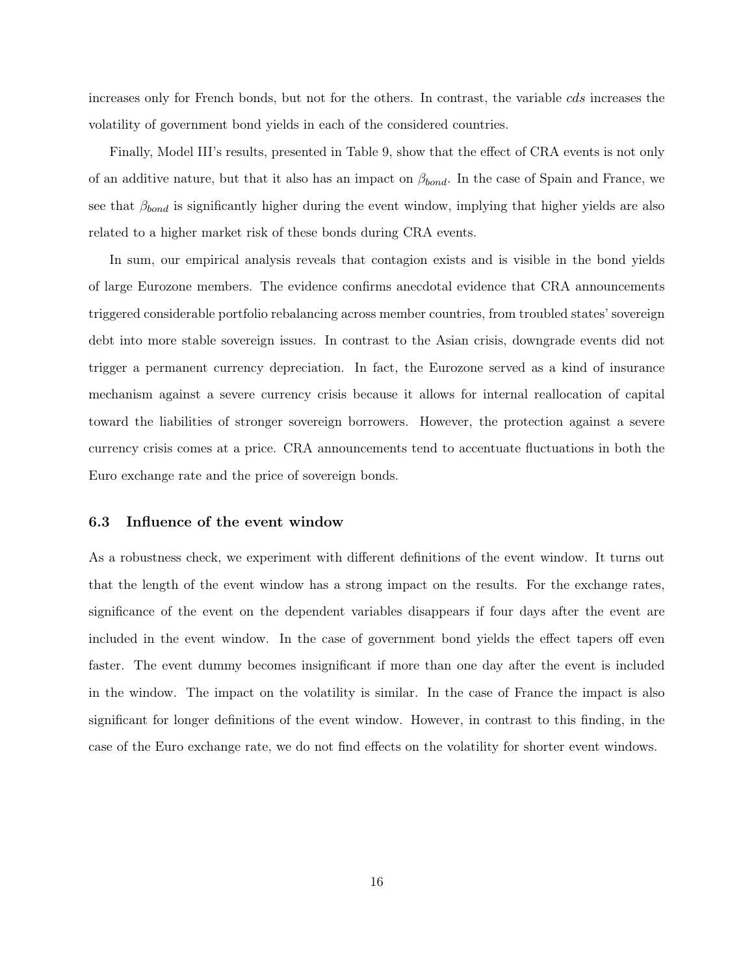increases only for French bonds, but not for the others. In contrast, the variable cds increases the volatility of government bond yields in each of the considered countries.

Finally, Model III's results, presented in Table 9, show that the effect of CRA events is not only of an additive nature, but that it also has an impact on  $\beta_{bond}$ . In the case of Spain and France, we see that  $\beta_{bond}$  is significantly higher during the event window, implying that higher yields are also related to a higher market risk of these bonds during CRA events.

In sum, our empirical analysis reveals that contagion exists and is visible in the bond yields of large Eurozone members. The evidence confirms anecdotal evidence that CRA announcements triggered considerable portfolio rebalancing across member countries, from troubled states' sovereign debt into more stable sovereign issues. In contrast to the Asian crisis, downgrade events did not trigger a permanent currency depreciation. In fact, the Eurozone served as a kind of insurance mechanism against a severe currency crisis because it allows for internal reallocation of capital toward the liabilities of stronger sovereign borrowers. However, the protection against a severe currency crisis comes at a price. CRA announcements tend to accentuate fluctuations in both the Euro exchange rate and the price of sovereign bonds.

### 6.3 Influence of the event window

As a robustness check, we experiment with different definitions of the event window. It turns out that the length of the event window has a strong impact on the results. For the exchange rates, significance of the event on the dependent variables disappears if four days after the event are included in the event window. In the case of government bond yields the effect tapers off even faster. The event dummy becomes insignificant if more than one day after the event is included in the window. The impact on the volatility is similar. In the case of France the impact is also significant for longer definitions of the event window. However, in contrast to this finding, in the case of the Euro exchange rate, we do not find effects on the volatility for shorter event windows.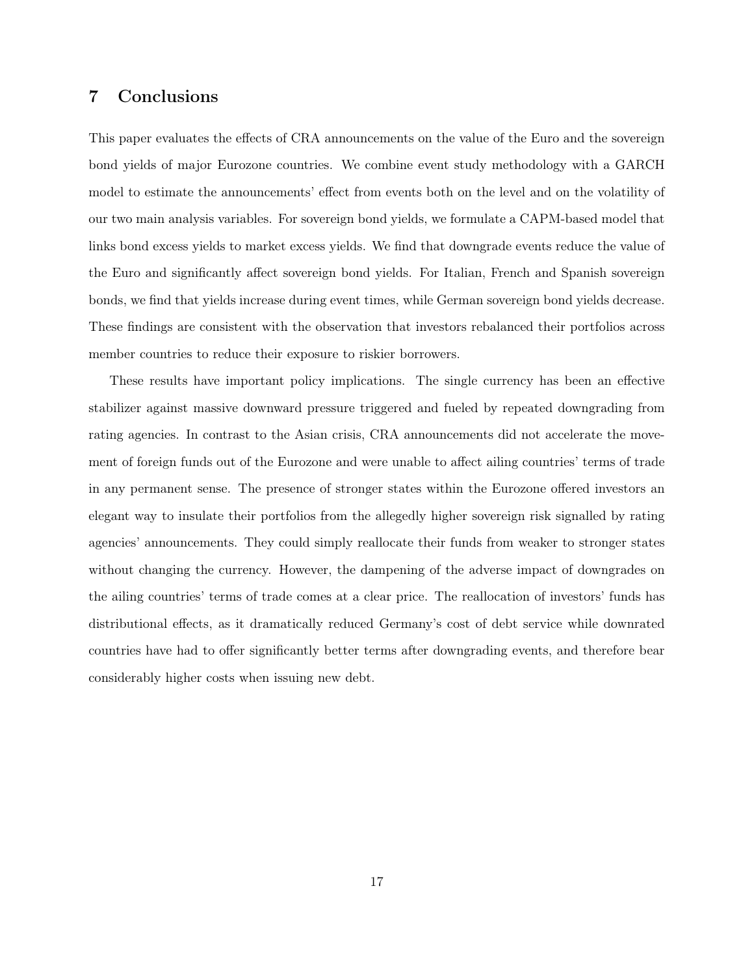# 7 Conclusions

This paper evaluates the effects of CRA announcements on the value of the Euro and the sovereign bond yields of major Eurozone countries. We combine event study methodology with a GARCH model to estimate the announcements' effect from events both on the level and on the volatility of our two main analysis variables. For sovereign bond yields, we formulate a CAPM-based model that links bond excess yields to market excess yields. We find that downgrade events reduce the value of the Euro and significantly affect sovereign bond yields. For Italian, French and Spanish sovereign bonds, we find that yields increase during event times, while German sovereign bond yields decrease. These findings are consistent with the observation that investors rebalanced their portfolios across member countries to reduce their exposure to riskier borrowers.

These results have important policy implications. The single currency has been an effective stabilizer against massive downward pressure triggered and fueled by repeated downgrading from rating agencies. In contrast to the Asian crisis, CRA announcements did not accelerate the movement of foreign funds out of the Eurozone and were unable to affect ailing countries' terms of trade in any permanent sense. The presence of stronger states within the Eurozone offered investors an elegant way to insulate their portfolios from the allegedly higher sovereign risk signalled by rating agencies' announcements. They could simply reallocate their funds from weaker to stronger states without changing the currency. However, the dampening of the adverse impact of downgrades on the ailing countries' terms of trade comes at a clear price. The reallocation of investors' funds has distributional effects, as it dramatically reduced Germany's cost of debt service while downrated countries have had to offer significantly better terms after downgrading events, and therefore bear considerably higher costs when issuing new debt.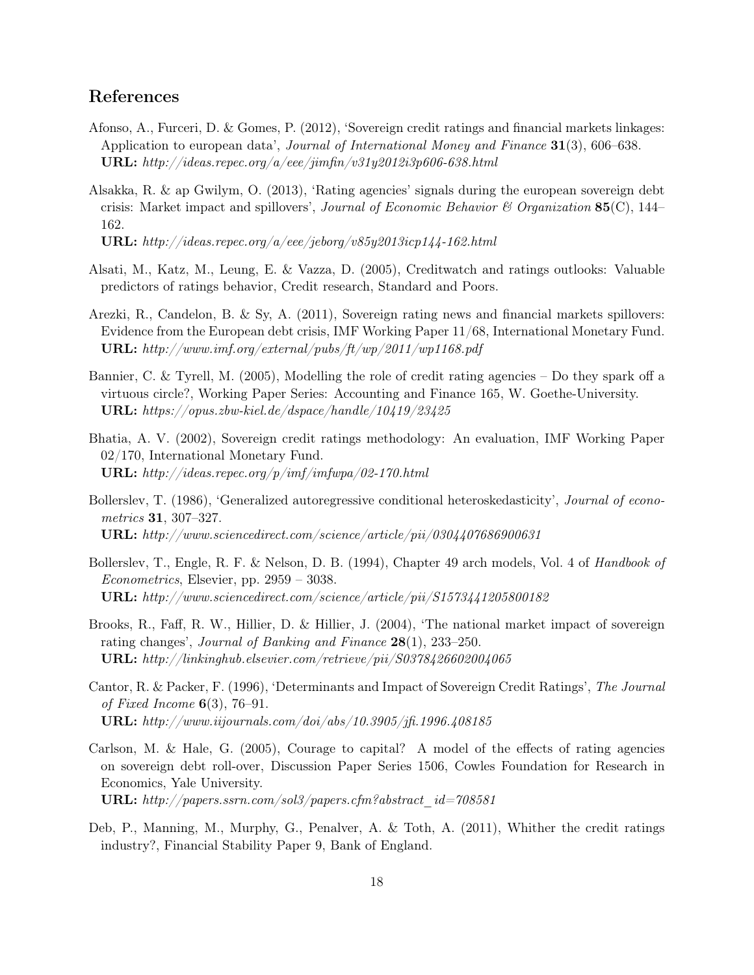# References

- Afonso, A., Furceri, D. & Gomes, P. (2012), 'Sovereign credit ratings and financial markets linkages: Application to european data', Journal of International Money and Finance 31(3), 606-638. URL:  $http://deas.repec.org/a/eee/jimfin/v31y2012i3p606-638.html$
- Alsakka, R. & ap Gwilym, O. (2013), 'Rating agencies' signals during the european sovereign debt crisis: Market impact and spillovers', *Journal of Economic Behavior & Organization* 85(C), 144– 162.

URL: http://ideas.repec.org/a/eee/jeborg/v85y2013icp144-162.html

- Alsati, M., Katz, M., Leung, E. & Vazza, D. (2005), Creditwatch and ratings outlooks: Valuable predictors of ratings behavior, Credit research, Standard and Poors.
- Arezki, R., Candelon, B. & Sy, A. (2011), Sovereign rating news and financial markets spillovers: Evidence from the European debt crisis, IMF Working Paper 11/68, International Monetary Fund. URL:  $http://www.imf.org/external/pubs/ft/wp/2011/wp1168.pdf$
- Bannier, C. & Tyrell, M. (2005), Modelling the role of credit rating agencies Do they spark off a virtuous circle?, Working Paper Series: Accounting and Finance 165, W. Goethe-University. URL: https://opus.zbw-kiel.de/dspace/handle/10419/23425
- Bhatia, A. V. (2002), Sovereign credit ratings methodology: An evaluation, IMF Working Paper 02/170, International Monetary Fund. URL: http://ideas.repec.org/p/imf/imfwpa/02-170.html
- Bollerslev, T. (1986), 'Generalized autoregressive conditional heteroskedasticity', Journal of econometrics 31, 307–327. URL: http://www.sciencedirect.com/science/article/pii/0304407686900631
- Bollerslev, T., Engle, R. F. & Nelson, D. B. (1994), Chapter 49 arch models, Vol. 4 of *Handbook of* Econometrics, Elsevier, pp. 2959 – 3038. URL: http://www.sciencedirect.com/science/article/pii/S1573441205800182
- Brooks, R., Faff, R. W., Hillier, D. & Hillier, J. (2004), 'The national market impact of sovereign rating changes', Journal of Banking and Finance  $28(1)$ , 233–250. URL: http://linkinghub.elsevier.com/retrieve/pii/S0378426602004065
- Cantor, R. & Packer, F. (1996), 'Determinants and Impact of Sovereign Credit Ratings', The Journal of Fixed Income  $6(3)$ , 76-91. **URL:** http://www.iijournals.com/doi/abs/10.3905/jfi.1996.408185
- Carlson, M. & Hale, G. (2005), Courage to capital? A model of the effects of rating agencies on sovereign debt roll-over, Discussion Paper Series 1506, Cowles Foundation for Research in Economics, Yale University. URL: http://papers.ssrn.com/sol3/papers.cfm?abstract\_id=708581
- Deb, P., Manning, M., Murphy, G., Penalver, A. & Toth, A. (2011), Whither the credit ratings industry?, Financial Stability Paper 9, Bank of England.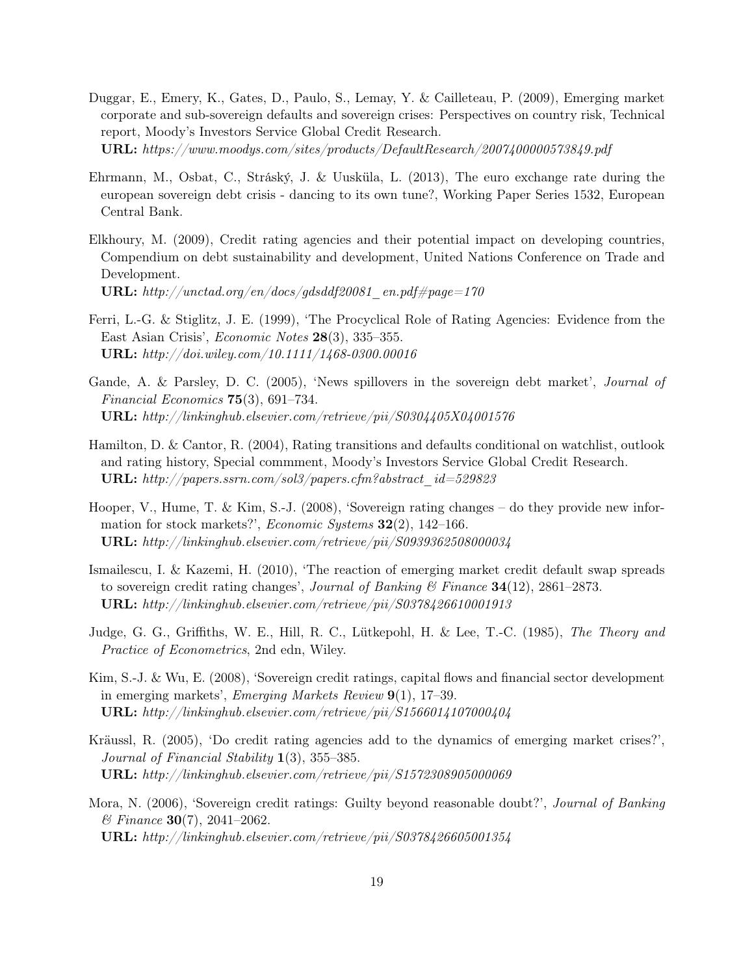- Duggar, E., Emery, K., Gates, D., Paulo, S., Lemay, Y. & Cailleteau, P. (2009), Emerging market corporate and sub-sovereign defaults and sovereign crises: Perspectives on country risk, Technical report, Moody's Investors Service Global Credit Research. URL: https://www.moodys.com/sites/products/DefaultResearch/2007400000573849.pdf
- Ehrmann, M., Osbat, C., Stráský, J. & Uusküla, L. (2013), The euro exchange rate during the european sovereign debt crisis - dancing to its own tune?, Working Paper Series 1532, European Central Bank.
- Elkhoury, M. (2009), Credit rating agencies and their potential impact on developing countries, Compendium on debt sustainability and development, United Nations Conference on Trade and Development. **URL:** http://unctad.org/en/docs/gdsddf20081\_en.pdf#page=170
- Ferri, L.-G. & Stiglitz, J. E. (1999), 'The Procyclical Role of Rating Agencies: Evidence from the East Asian Crisis', Economic Notes 28(3), 335–355. URL: http://doi.wiley.com/10.1111/1468-0300.00016
- Gande, A. & Parsley, D. C. (2005), 'News spillovers in the sovereign debt market', Journal of Financial Economics  $75(3)$ , 691–734. URL: http://linkinghub.elsevier.com/retrieve/pii/S0304405X04001576
- Hamilton, D. & Cantor, R. (2004), Rating transitions and defaults conditional on watchlist, outlook and rating history, Special commment, Moody's Investors Service Global Credit Research. URL: http://papers.ssrn.com/sol3/papers.cfm?abstract\_id=529823
- Hooper, V., Hume, T. & Kim, S.-J. (2008), 'Sovereign rating changes do they provide new information for stock markets?', *Economic Systems* **32**(2), 142–166. URL: http://linkinghub.elsevier.com/retrieve/pii/S0939362508000034
- Ismailescu, I. & Kazemi, H. (2010), 'The reaction of emerging market credit default swap spreads to sovereign credit rating changes', *Journal of Banking*  $\mathcal{C}$  *Finance* 34(12), 2861–2873. URL: http://linkinghub.elsevier.com/retrieve/pii/S0378426610001913
- Judge, G. G., Griffiths, W. E., Hill, R. C., Lütkepohl, H. & Lee, T.-C. (1985), The Theory and Practice of Econometrics, 2nd edn, Wiley.
- Kim, S.-J. & Wu, E. (2008), 'Sovereign credit ratings, capital flows and financial sector development in emerging markets', Emerging Markets Review 9(1), 17–39. URL: http://linkinghub.elsevier.com/retrieve/pii/S1566014107000404
- Kräussl, R. (2005), 'Do credit rating agencies add to the dynamics of emerging market crises?', Journal of Financial Stability 1(3), 355–385. URL: http://linkinghub.elsevier.com/retrieve/pii/S1572308905000069
- Mora, N. (2006), 'Sovereign credit ratings: Guilty beyond reasonable doubt?', Journal of Banking  $\mathscr{C}$  Finance **30**(7), 2041–2062. URL: http://linkinghub.elsevier.com/retrieve/pii/S0378426605001354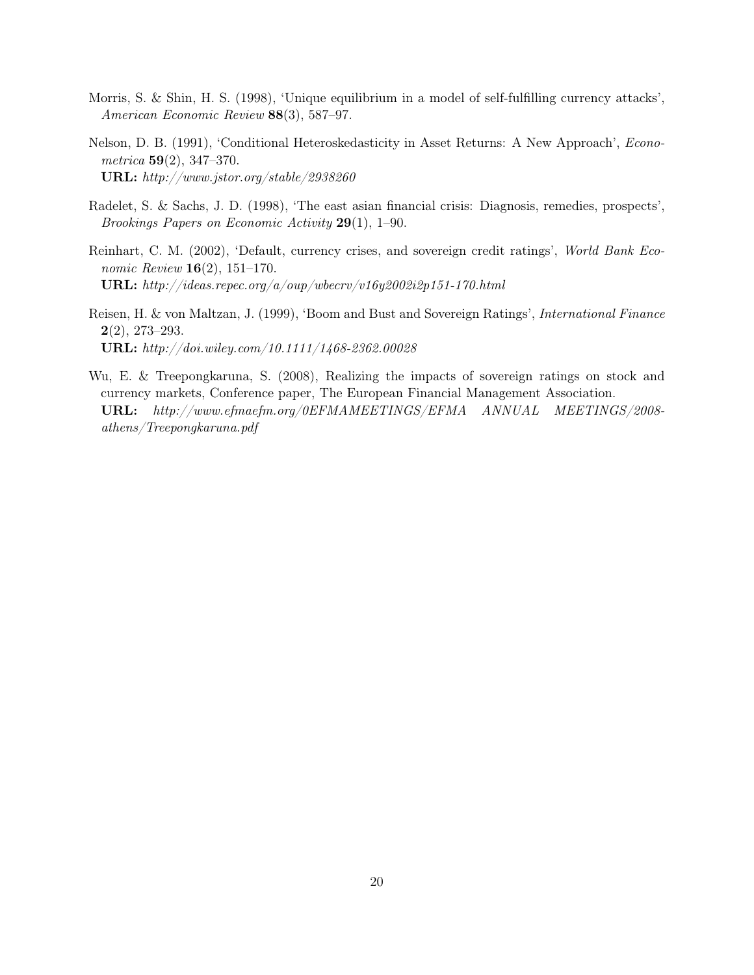- Morris, S. & Shin, H. S. (1998), 'Unique equilibrium in a model of self-fulfilling currency attacks', American Economic Review 88(3), 587–97.
- Nelson, D. B. (1991), 'Conditional Heteroskedasticity in Asset Returns: A New Approach', Econo $metrica \; 59(2), 347-370.$ URL: http://www.jstor.org/stable/2938260
- Radelet, S. & Sachs, J. D. (1998), 'The east asian financial crisis: Diagnosis, remedies, prospects', Brookings Papers on Economic Activity 29(1), 1–90.
- Reinhart, C. M. (2002), 'Default, currency crises, and sovereign credit ratings', World Bank Economic Review 16(2), 151–170. URL: http://ideas.repec.org/a/oup/wbecrv/v16y2002i2p151-170.html
- Reisen, H. & von Maltzan, J. (1999), 'Boom and Bust and Sovereign Ratings', International Finance  $2(2), 273 - 293.$ URL: http://doi.wiley.com/10.1111/1468-2362.00028
- Wu, E. & Treepongkaruna, S. (2008), Realizing the impacts of sovereign ratings on stock and currency markets, Conference paper, The European Financial Management Association. URL: http://www.efmaefm.org/0EFMAMEETINGS/EFMA ANNUAL MEETINGS/2008 athens/Treepongkaruna.pdf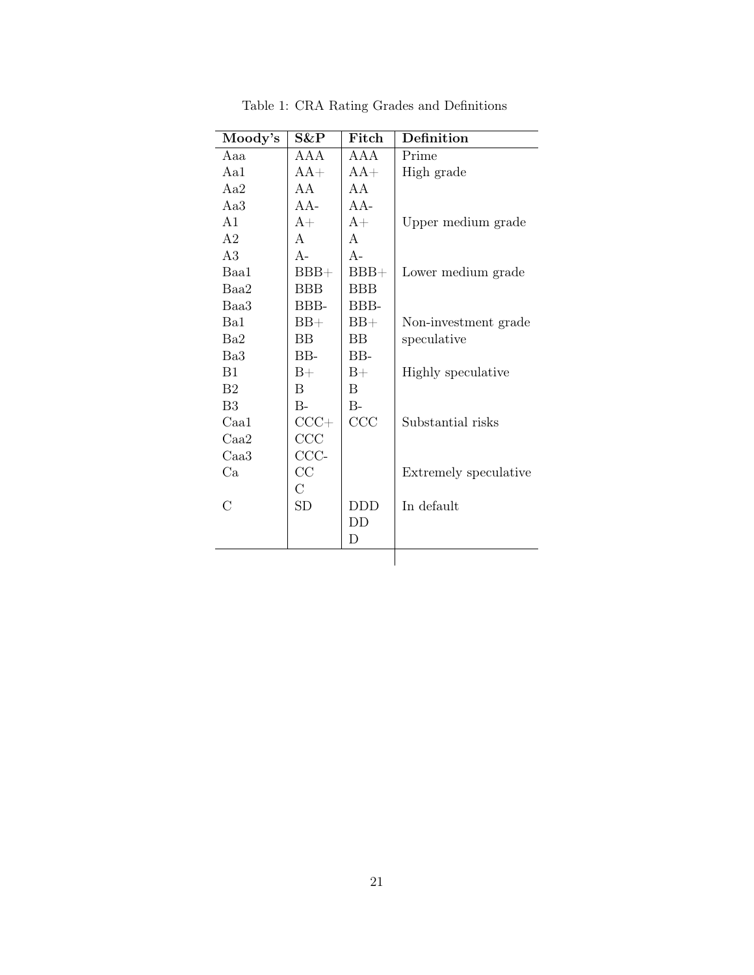| Moody's        | S&P        | Fitch        | Definition            |
|----------------|------------|--------------|-----------------------|
| Aaa            | AAA        | A A A        | Prime                 |
| Aa1            | $AA+$      | $AA+$        | High grade            |
| Aa2            | A A        | A A          |                       |
| Aa3            | $AA -$     | $AA -$       |                       |
| A <sub>1</sub> | $A+$       | $A+$         | Upper medium grade    |
| A <sub>2</sub> | A          | $\mathbf{A}$ |                       |
| A3             | $A -$      | $A -$        |                       |
| Baa1           | $BBB+$     | $BBB+$       | Lower medium grade    |
| Baa2           | <b>BBB</b> | <b>BBB</b>   |                       |
| Baa3           | BBB-       | BBB-         |                       |
| Ba1            | $BB+$      | $BB+$        | Non-investment grade  |
| Ba2            | <b>BB</b>  | <b>BB</b>    | speculative           |
| Ba3            | $BB-$      | $BB-$        |                       |
| B1             | $B+$       | $B+$         | Highly speculative    |
| B <sub>2</sub> | B          | B            |                       |
| B3             | $B -$      | $B -$        |                       |
| Caa1           | $CCC+$     | CCC          | Substantial risks     |
| Caa2           | CCC        |              |                       |
| Caa3           | $CCC-$     |              |                       |
| Ca             | CC         |              | Extremely speculative |
|                | С          |              |                       |
| $\rm C$        | <b>SD</b>  | DDD          | In default            |
|                |            | DD           |                       |
|                |            | D            |                       |

Table 1: CRA Rating Grades and Definitions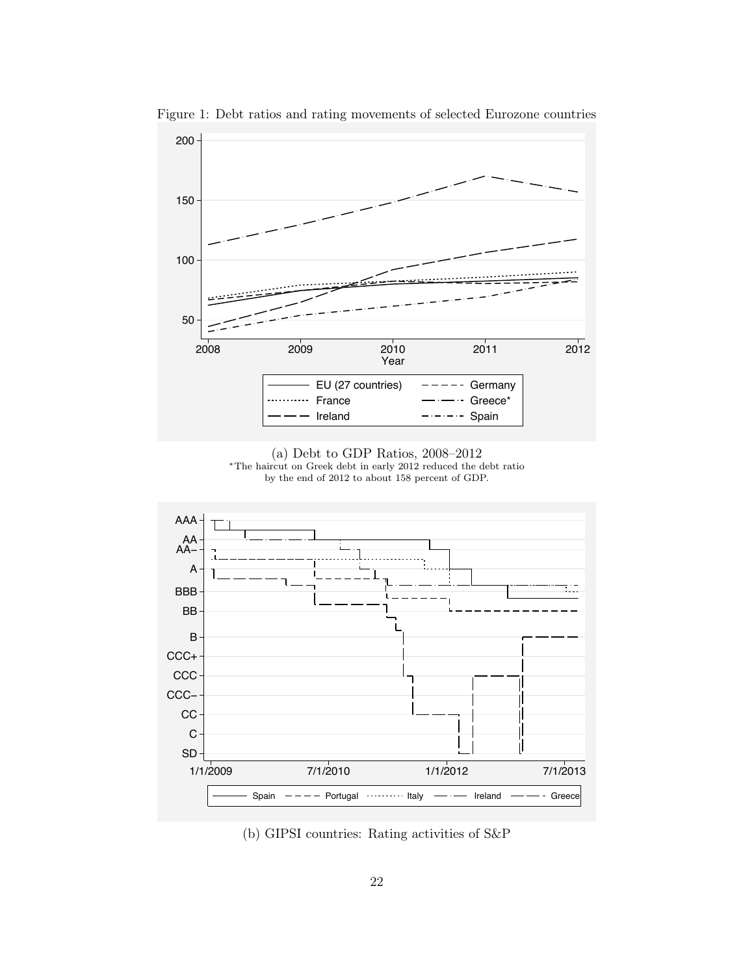

Figure 1: Debt ratios and rating movements of selected Eurozone countries





(b) GIPSI countries: Rating activities of S&P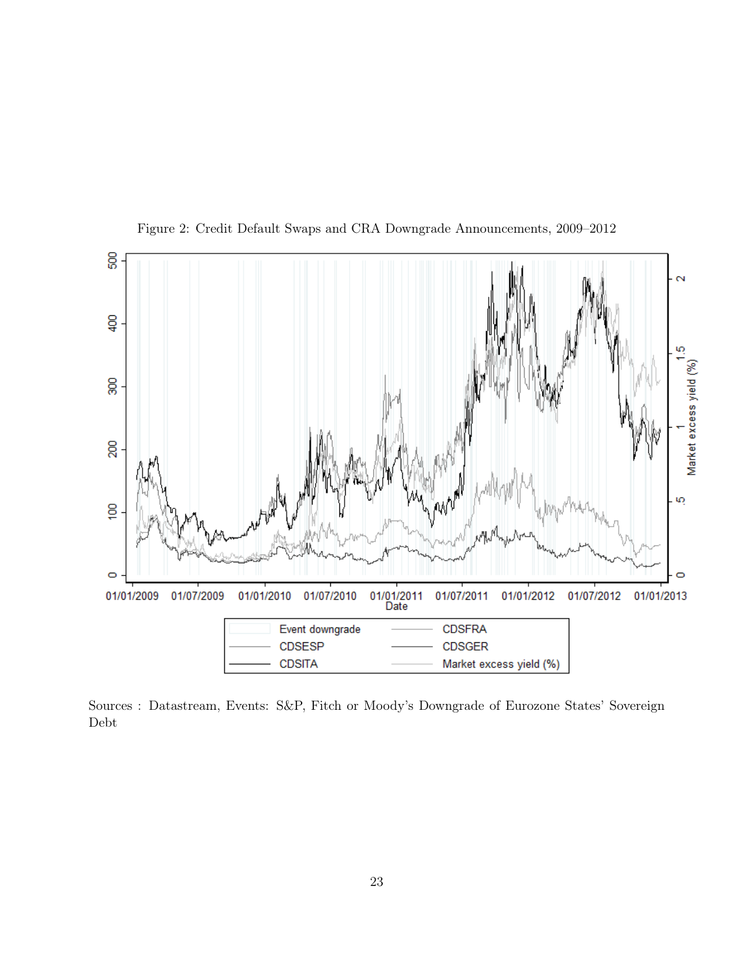

Figure 2: Credit Default Swaps and CRA Downgrade Announcements, 2009–2012

Sources : Datastream, Events: S&P, Fitch or Moody's Downgrade of Eurozone States' Sovereign Debt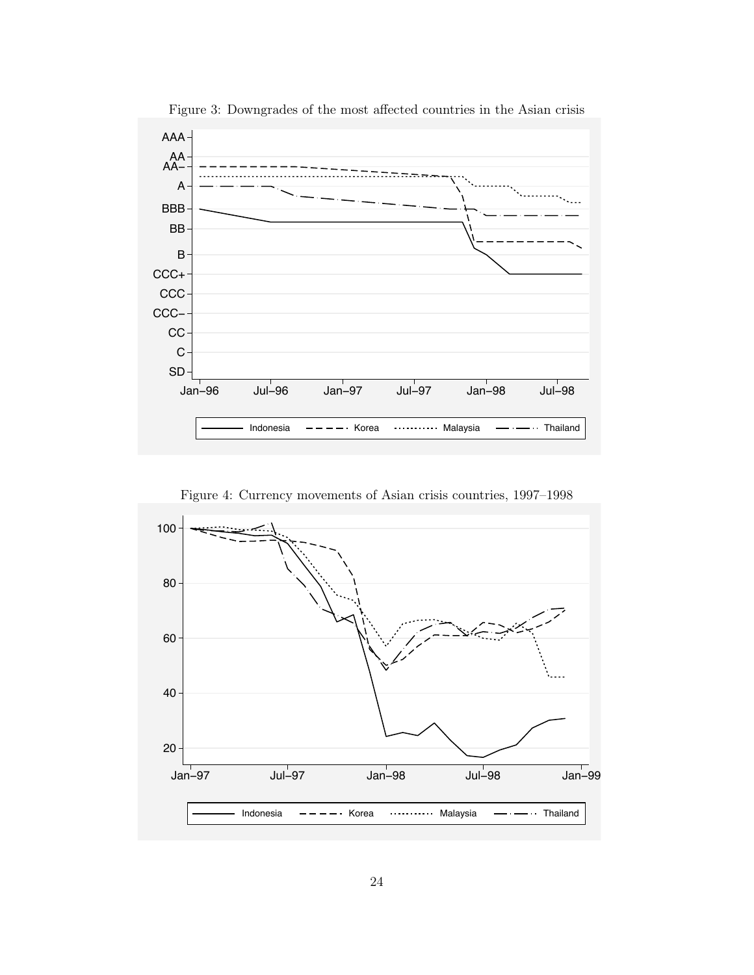

Figure 3: Downgrades of the most affected countries in the Asian crisis

Figure 4: Currency movements of Asian crisis countries, 1997–1998

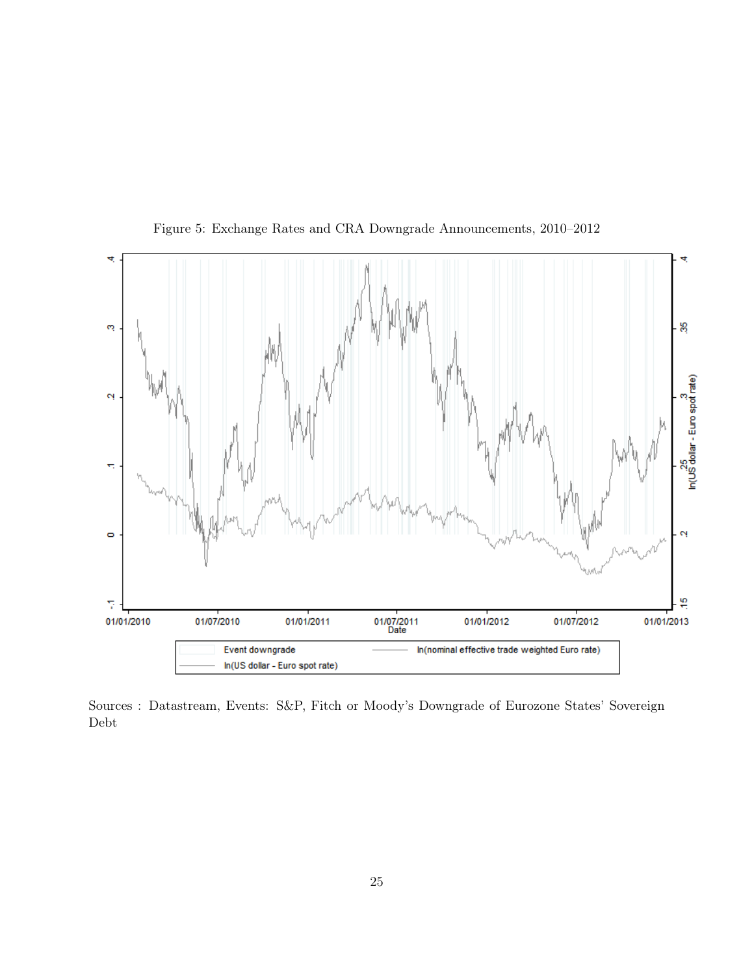

Figure 5: Exchange Rates and CRA Downgrade Announcements, 2010–2012

Sources : Datastream, Events: S&P, Fitch or Moody's Downgrade of Eurozone States' Sovereign Debt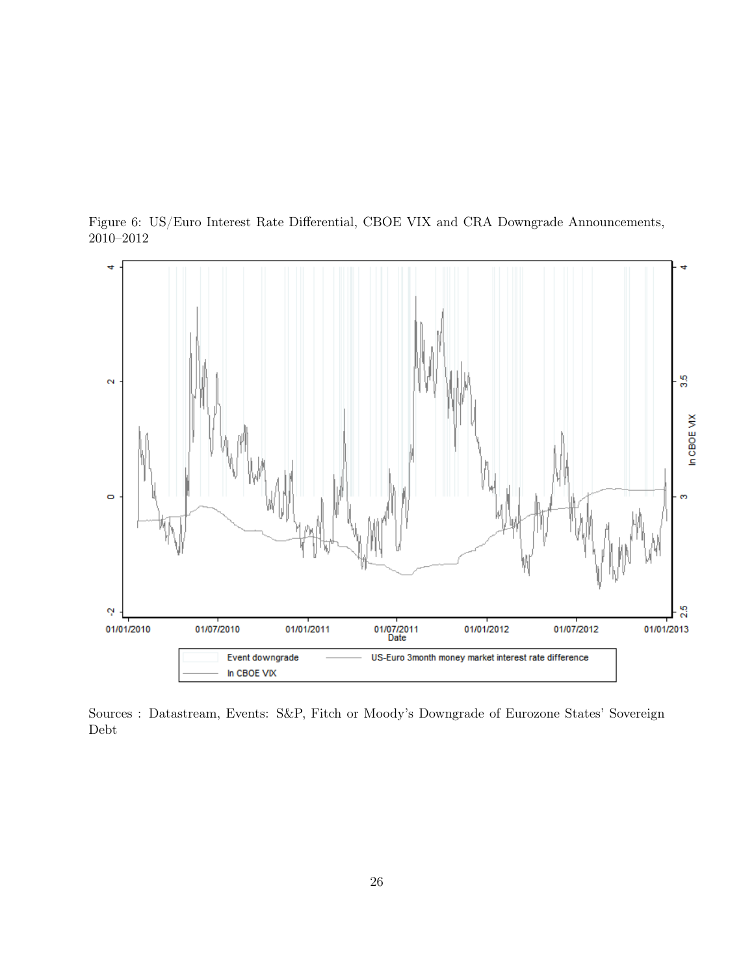



Sources : Datastream, Events: S&P, Fitch or Moody's Downgrade of Eurozone States' Sovereign Debt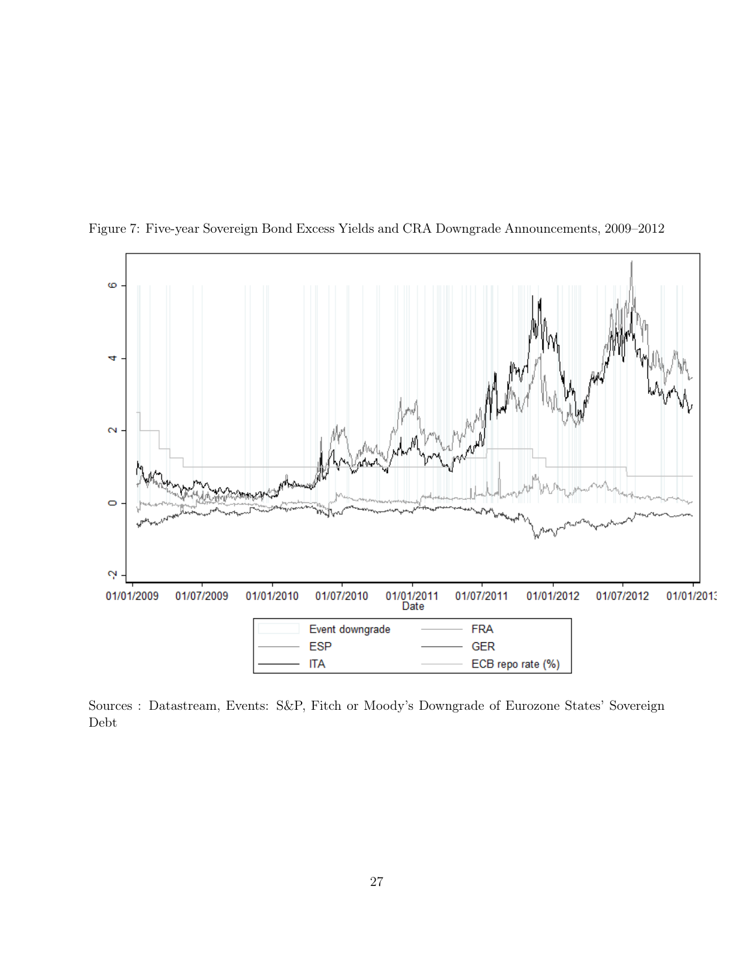

Figure 7: Five-year Sovereign Bond Excess Yields and CRA Downgrade Announcements, 2009–2012

Sources : Datastream, Events: S&P, Fitch or Moody's Downgrade of Eurozone States' Sovereign Debt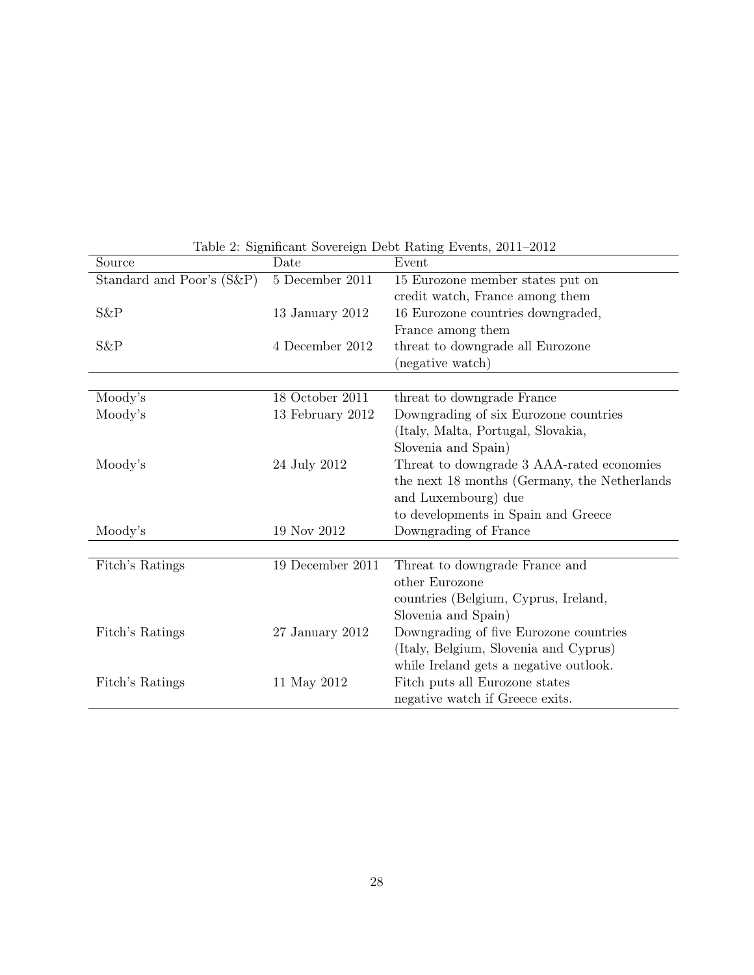| Source                    | Date             | Event                                        |
|---------------------------|------------------|----------------------------------------------|
| Standard and Poor's (S&P) | 5 December 2011  | 15 Eurozone member states put on             |
|                           |                  | credit watch, France among them              |
| S&P                       | 13 January 2012  | 16 Eurozone countries downgraded,            |
|                           |                  | France among them                            |
| $S\&P$                    | 4 December 2012  | threat to downgrade all Eurozone             |
|                           |                  | (negative watch)                             |
|                           |                  |                                              |
| Moody's                   | 18 October 2011  | threat to downgrade France                   |
| Moody's                   | 13 February 2012 | Downgrading of six Eurozone countries        |
|                           |                  | (Italy, Malta, Portugal, Slovakia,           |
|                           |                  | Slovenia and Spain)                          |
| Moody's                   | 24 July 2012     | Threat to downgrade 3 AAA-rated economies    |
|                           |                  | the next 18 months (Germany, the Netherlands |
|                           |                  | and Luxembourg) due                          |
|                           |                  | to developments in Spain and Greece          |
| Moody's                   | 19 Nov 2012      | Downgrading of France                        |
|                           |                  |                                              |
| Fitch's Ratings           | 19 December 2011 | Threat to downgrade France and               |
|                           |                  | other Eurozone                               |
|                           |                  | countries (Belgium, Cyprus, Ireland,         |
|                           |                  | Slovenia and Spain)                          |
| Fitch's Ratings           | 27 January 2012  | Downgrading of five Eurozone countries       |
|                           |                  | (Italy, Belgium, Slovenia and Cyprus)        |
|                           |                  | while Ireland gets a negative outlook.       |
| Fitch's Ratings           | 11 May 2012      | Fitch puts all Eurozone states               |
|                           |                  | negative watch if Greece exits.              |

Table 2: Significant Sovereign Debt Rating Events, 2011–2012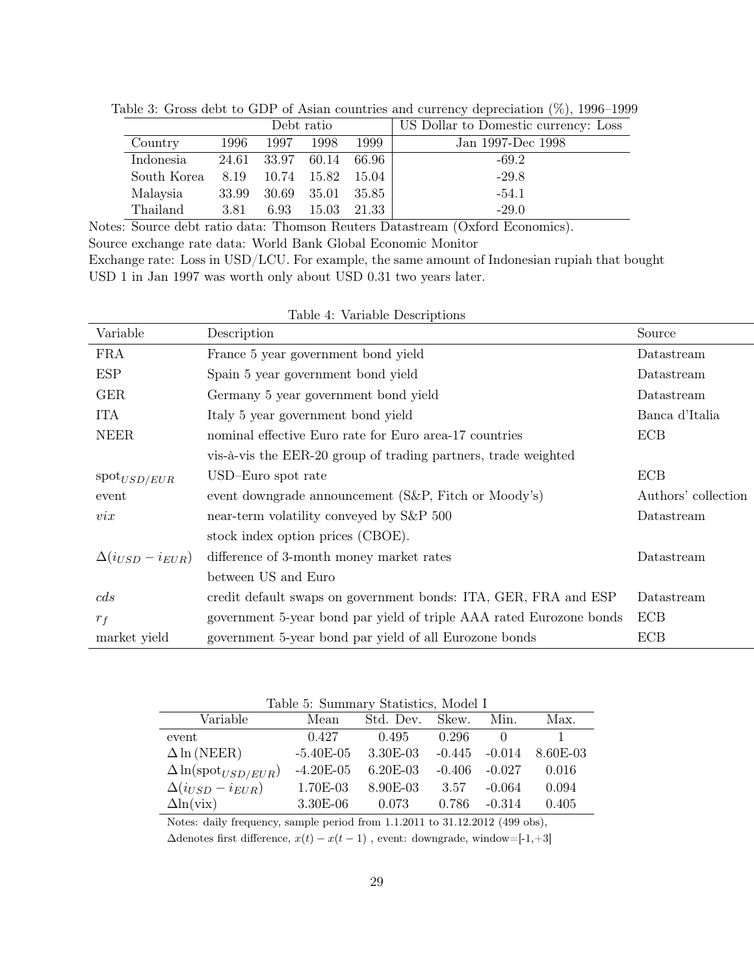|             | Debt ratio |             |       |        | US Dollar to Domestic currency: Loss |
|-------------|------------|-------------|-------|--------|--------------------------------------|
| Country     | 1996       | 1997        | 1998  | 1999   | Jan 1997-Dec 1998                    |
| Indonesia   |            | 24.61 33.97 | 60.14 | -66.96 | $-69.2$                              |
| South Korea | 8.19       | 10.74       | 15.82 | 15.04  | $-29.8$                              |
| Malaysia    | 33.99      | - 30.69     | 35.01 | -35.85 | $-54.1$                              |
| Thailand    | 3.81       | 6.93        | 15.03 | 21.33  | $-29.0$                              |

Table 3: Gross debt to GDP of Asian countries and currency depreciation (%), 1996–1999

Notes: Source debt ratio data: Thomson Reuters Datastream (Oxford Economics). Source exchange rate data: World Bank Global Economic Monitor Exchange rate: Loss in USD/LCU. For example, the same amount of Indonesian rupiah that bought USD 1 in Jan 1997 was worth only about USD 0.31 two years later.

Table 4: Variable Descriptions

| Variable                  | Description                                                         | Source              |
|---------------------------|---------------------------------------------------------------------|---------------------|
| <b>FRA</b>                | France 5 year government bond yield                                 | Datastream          |
| <b>ESP</b>                | Spain 5 year government bond yield                                  | Datastream          |
| <b>GER</b>                | Germany 5 year government bond yield                                | Datastream          |
| <b>ITA</b>                | Italy 5 year government bond yield                                  | Banca d'Italia      |
| <b>NEER</b>               | nominal effective Euro rate for Euro area-17 countries              | <b>ECB</b>          |
|                           | vis-à-vis the EER-20 group of trading partners, trade weighted      |                     |
| $\text{spot}_{USD/EUR}$   | USD-Euro spot rate                                                  | <b>ECB</b>          |
| event                     | event downgrade announcement (S&P, Fitch or Moody's)                | Authors' collection |
| $\mathit{vix}$            | near-term volatility conveyed by S&P 500                            | Datastream          |
|                           | stock index option prices (CBOE).                                   |                     |
| $\Delta(i_{USD}-i_{EUR})$ | difference of 3-month money market rates                            | Datastream          |
|                           | between US and Euro                                                 |                     |
| cds                       | credit default swaps on government bonds: ITA, GER, FRA and ESP     | Datastream          |
| $r_f$                     | government 5-year bond par yield of triple AAA rated Eurozone bonds | <b>ECB</b>          |
| market yield              | government 5-year bond par yield of all Eurozone bonds              | <b>ECB</b>          |

| Variable                            | Mean        | Std. Dev. Skew. |          | Min.         | Max.     |
|-------------------------------------|-------------|-----------------|----------|--------------|----------|
| event                               | 0.427       | 0.495           | 0.296    | $\mathbf{0}$ |          |
| $\Delta \ln(NEER)$                  | $-5.40E-05$ | 3.30E-03        | $-0.445$ | $-0.014$     | 8.60E-03 |
| $\Delta \ln(\text{spot}_{USD/EUR})$ | $-4.20E-05$ | $6.20E-03$      | $-0.406$ | $-0.027$     | 0.016    |
| $\Delta(i_{USD}-i_{EUR})$           | 1.70E-03    | 8.90E-03        | 3.57     | $-0.064$     | 0.094    |
| $\Delta$ ln(vix)                    | $3.30E-06$  | 0.073           | 0.786    | $-0.314$     | 0.405    |

Notes: daily frequency, sample period from 1.1.2011 to 31.12.2012 (499 obs),

 $\Delta \rm denotes$  first difference,  $x(t)-x(t-1)$  , event: downgrade, window=[-1,+3]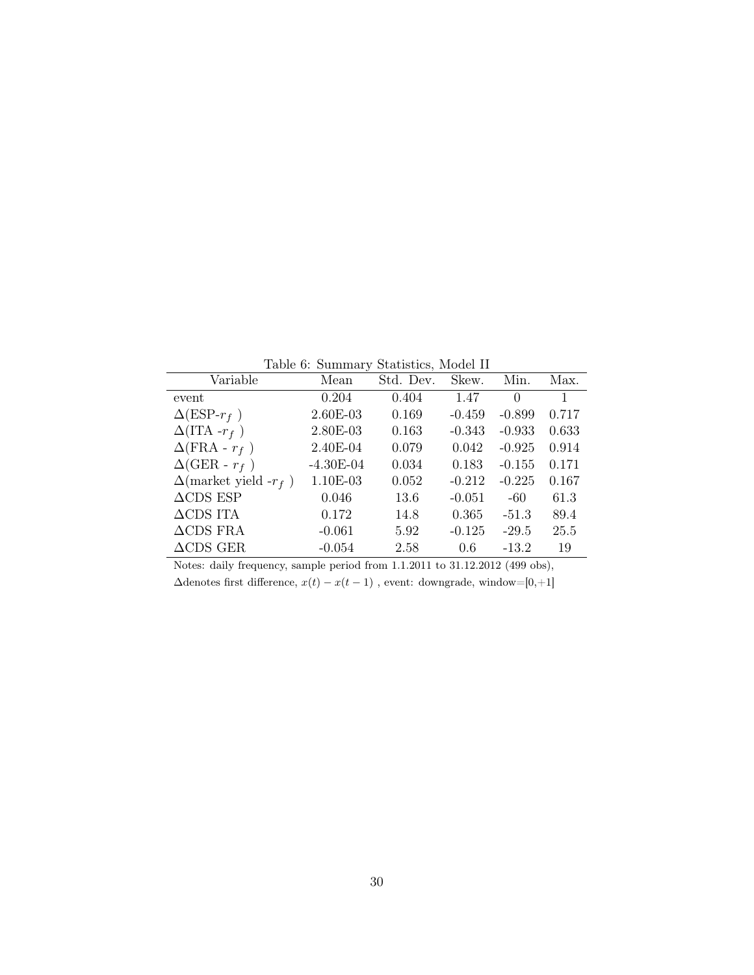Table 6: Summary Statistics, Model II

|                                  |             | Lable 0. Dummary Diamonts, infuser 11 |          |          |              |
|----------------------------------|-------------|---------------------------------------|----------|----------|--------------|
| Variable                         | Mean        | Std. Dev.                             | Skew.    | Min.     | Max.         |
| event                            | 0.204       | 0.404                                 | 1.47     | 0        | $\mathbf{1}$ |
| $\Delta$ (ESP- $r_f$ )           | 2.60E-03    | 0.169                                 | $-0.459$ | $-0.899$ | 0.717        |
| $\Delta(\text{ITA }-r_f)$        | 2.80E-03    | 0.163                                 | $-0.343$ | $-0.933$ | 0.633        |
| $\Delta(\text{FRA} - r_f)$       | 2.40E-04    | 0.079                                 | 0.042    | $-0.925$ | 0.914        |
| $\Delta$ (GER - $r_f$ )          | $-4.30E-04$ | 0.034                                 | 0.183    | $-0.155$ | 0.171        |
| $\Delta$ (market yield - $r_f$ ) | 1.10E-03    | 0.052                                 | $-0.212$ | $-0.225$ | 0.167        |
| $\triangle$ CDS ESP              | 0.046       | 13.6                                  | $-0.051$ | -60      | 61.3         |
| $\triangle$ CDS ITA              | 0.172       | 14.8                                  | 0.365    | $-51.3$  | 89.4         |
| $\triangle$ CDS FRA              | $-0.061$    | 5.92                                  | $-0.125$ | $-29.5$  | 25.5         |
| $\triangle$ CDS GER              | $-0.054$    | 2.58                                  | 0.6      | $-13.2$  | 19           |
|                                  |             |                                       |          |          |              |

Notes: daily frequency, sample period from 1.1.2011 to 31.12.2012 (499 obs),  $\Delta \rm denotes$  first difference,  $x(t)-x(t-1)$  , event: downgrade, window=[0,+1]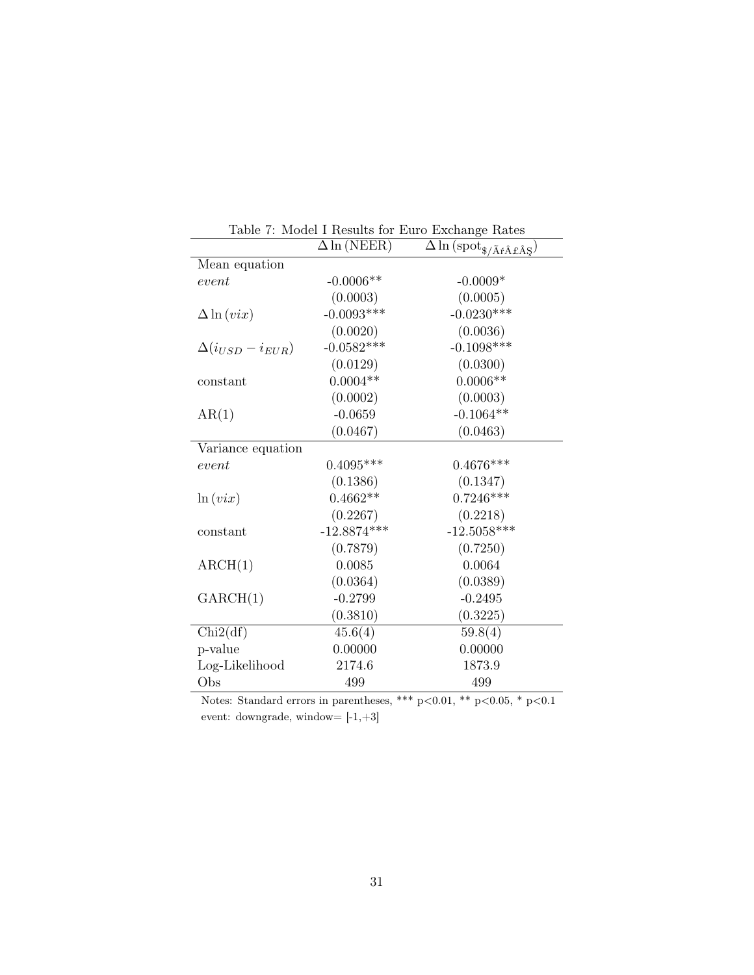| Lable 1. Model I Results for Earl Exemange Rates<br>$\Delta \ln(NEER)$ |               |                                                                                    |  |  |  |  |
|------------------------------------------------------------------------|---------------|------------------------------------------------------------------------------------|--|--|--|--|
|                                                                        |               | $\overline{\Delta}\ln{(\mathrm{spot}_{\$,/\tilde{A}\acute{r}\hat{A}\&\AA\Sigma})}$ |  |  |  |  |
| Mean equation                                                          |               |                                                                                    |  |  |  |  |
| event                                                                  | $-0.0006**$   | $-0.0009*$                                                                         |  |  |  |  |
|                                                                        | (0.0003)      | (0.0005)                                                                           |  |  |  |  |
| $\Delta \ln(vix)$                                                      | $-0.0093***$  | $-0.0230***$                                                                       |  |  |  |  |
|                                                                        | (0.0020)      | (0.0036)                                                                           |  |  |  |  |
| $\Delta(i_{USD}-i_{EUR})$                                              | $-0.0582***$  | $-0.1098***$                                                                       |  |  |  |  |
|                                                                        | (0.0129)      | (0.0300)                                                                           |  |  |  |  |
| constant                                                               | $0.0004**$    | $0.0006**$                                                                         |  |  |  |  |
|                                                                        | (0.0002)      | (0.0003)                                                                           |  |  |  |  |
| AR(1)                                                                  | $-0.0659$     | $-0.1064**$                                                                        |  |  |  |  |
|                                                                        | (0.0467)      | (0.0463)                                                                           |  |  |  |  |
| Variance equation                                                      |               |                                                                                    |  |  |  |  |
| event                                                                  | $0.4095***$   | $0.4676***$                                                                        |  |  |  |  |
|                                                                        | (0.1386)      | (0.1347)                                                                           |  |  |  |  |
| ln(vix)                                                                | $0.4662**$    | $0.7246***$                                                                        |  |  |  |  |
|                                                                        | (0.2267)      | (0.2218)                                                                           |  |  |  |  |
| constant                                                               | $-12.8874***$ | $-12.5058***$                                                                      |  |  |  |  |
|                                                                        | (0.7879)      | (0.7250)                                                                           |  |  |  |  |
| $\text{ARCH}(1)$                                                       | 0.0085        | 0.0064                                                                             |  |  |  |  |
|                                                                        | (0.0364)      | (0.0389)                                                                           |  |  |  |  |
| GARCH(1)                                                               | $-0.2799$     | $-0.2495$                                                                          |  |  |  |  |
|                                                                        | (0.3810)      | (0.3225)                                                                           |  |  |  |  |
| Chi2(df)                                                               | 45.6(4)       | 59.8(4)                                                                            |  |  |  |  |
| p-value                                                                | 0.00000       | 0.00000                                                                            |  |  |  |  |
| Log-Likelihood                                                         | 2174.6        | 1873.9                                                                             |  |  |  |  |
| Obs                                                                    | 499           | 499                                                                                |  |  |  |  |
|                                                                        |               | ا مال مال مال<br>ملہ ملہ<br>$\sim$ $\sim$ $\sim$                                   |  |  |  |  |

|            |                    | Table 7: Model I Results for Euro Exchange Rates                             |  |
|------------|--------------------|------------------------------------------------------------------------------|--|
|            | $\Delta \ln(NEER)$ | $\Delta \ln \left( \mathrm{spot}_{\$,/\tilde{A}f\hat{A}f\hat{A}\xi} \right)$ |  |
| n equation |                    |                                                                              |  |
|            | $0.0008*$          | 0.0004                                                                       |  |

Notes: Standard errors in parentheses, \*\*\* p<0.01, \*\* p<0.05, \* p<0.1 event: downgrade, window=  $\left[-1,+3\right]$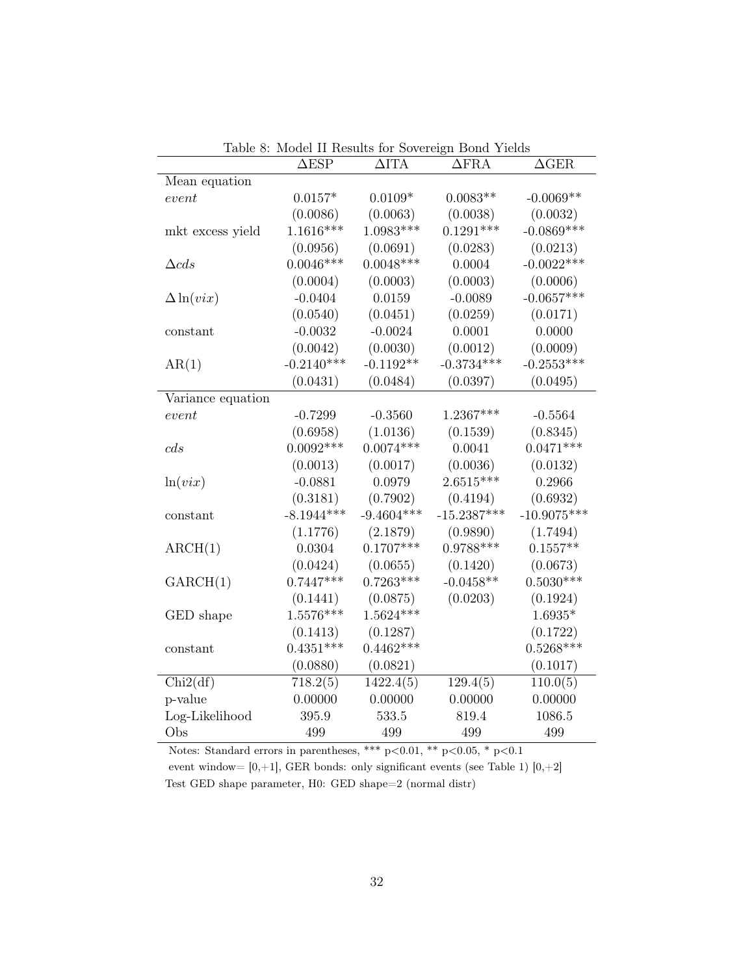|                   | $\triangle$ ESP | $\Delta$ ITA | $\Delta \text{FRA}$ | $\Delta {\rm GER}$ |
|-------------------|-----------------|--------------|---------------------|--------------------|
| Mean equation     |                 |              |                     |                    |
| event             | $0.0157*$       | $0.0109*$    | $0.0083**$          | $-0.0069**$        |
|                   | (0.0086)        | (0.0063)     | (0.0038)            | (0.0032)           |
| mkt excess yield  | $1.1616***$     | $1.0983***$  | $0.1291***$         | $-0.0869***$       |
|                   | (0.0956)        | (0.0691)     | (0.0283)            | (0.0213)           |
| $\triangle cds$   | $0.0046***$     | $0.0048***$  | 0.0004              | $-0.0022***$       |
|                   | (0.0004)        | (0.0003)     | (0.0003)            | (0.0006)           |
| $\Delta \ln(vix)$ | $-0.0404$       | 0.0159       | $-0.0089$           | $-0.0657***$       |
|                   | (0.0540)        | (0.0451)     | (0.0259)            | (0.0171)           |
| $\rm constant$    | $-0.0032$       | $-0.0024$    | 0.0001              | 0.0000             |
|                   | (0.0042)        | (0.0030)     | (0.0012)            | (0.0009)           |
| AR(1)             | $-0.2140***$    | $-0.1192**$  | $-0.3734***$        | $-0.2553***$       |
|                   | (0.0431)        | (0.0484)     | (0.0397)            | (0.0495)           |
| Variance equation |                 |              |                     |                    |
| $\emph{event}$    | $-0.7299$       | $-0.3560$    | $1.2367***$         | $-0.5564$          |
|                   | (0.6958)        | (1.0136)     | (0.1539)            | (0.8345)           |
| cds               | $0.0092***$     | $0.0074***$  | 0.0041              | $0.0471***$        |
|                   | (0.0013)        | (0.0017)     | (0.0036)            | (0.0132)           |
| ln(vix)           | $-0.0881$       | 0.0979       | $2.6515***$         | 0.2966             |
|                   | (0.3181)        | (0.7902)     | (0.4194)            | (0.6932)           |
| constant          | $-8.1944***$    | $-9.4604***$ | $-15.2387***$       | $-10.9075***$      |
|                   | (1.1776)        | (2.1879)     | (0.9890)            | (1.7494)           |
| ARCH(1)           | 0.0304          | $0.1707***$  | $0.9788***$         | $0.1557**$         |
|                   | (0.0424)        | (0.0655)     | (0.1420)            | (0.0673)           |
| GARCH(1)          | $0.7447***$     | $0.7263***$  | $-0.0458**$         | $0.5030***$        |
|                   | (0.1441)        | (0.0875)     | (0.0203)            | (0.1924)           |
| GED shape         | $1.5576***$     | $1.5624***$  |                     | $1.6935*$          |
|                   | (0.1413)        | (0.1287)     |                     | (0.1722)           |
| constant          | $0.4351***$     | $0.4462***$  |                     | $0.5268***$        |
|                   | (0.0880)        | (0.0821)     |                     | (0.1017)           |
| Chi2(df)          | 718.2(5)        | 1422.4(5)    | 129.4(5)            | 110.0(5)           |
| p-value           | 0.00000         | 0.00000      | 0.00000             | 0.00000            |
| Log-Likelihood    | 395.9           | 533.5        | 819.4               | 1086.5             |
| Obs               | 499             | 499          | 499                 | 499                |

Table 8: Model II Results for Sovereign Bond Yields

Notes: Standard errors in parentheses, \*\*\*  $p<0.01$ , \*\*  $p<0.05$ , \*  $p<0.1$ 

event window=  $[0,+1]$ , GER bonds: only significant events (see Table 1)  $[0,+2]$ Test GED shape parameter, H0: GED shape=2 (normal distr)